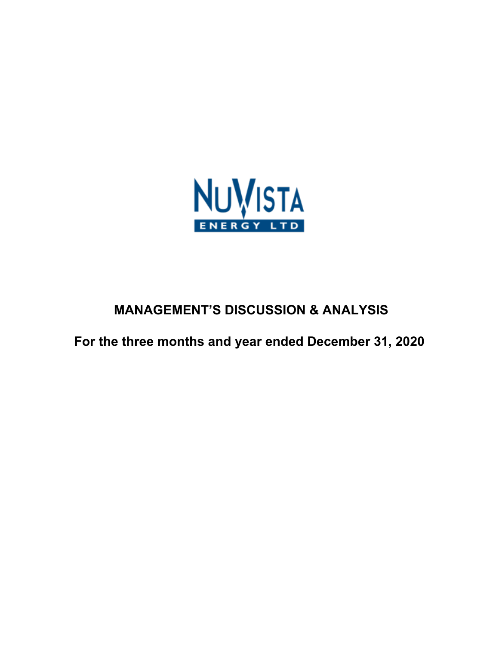

# **MANAGEMENT'S DISCUSSION & ANALYSIS**

**For the three months and year ended December 31, 2020**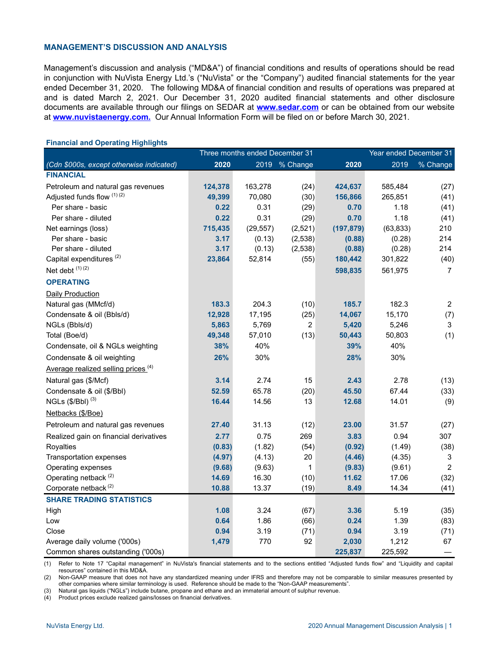#### **MANAGEMENT'S DISCUSSION AND ANALYSIS**

Management's discussion and analysis ("MD&A") of financial conditions and results of operations should be read in conjunction with NuVista Energy Ltd.'s ("NuVista" or the "Company") audited financial statements for the year ended December 31, 2020. The following MD&A of financial condition and results of operations was prepared at and is dated March 2, 2021. Our December 31, 2020 audited financial statements and other disclosure documents are available through our filings on SEDAR at **[www.sedar.com](http://www.sedar.com)** or can be obtained from our website at **[www.nuvistaenergy.com](http://www.nuvistaenergy.com).** Our Annual Information Form will be filed on or before March 30, 2021.

|                                                |         | Three months ended December 31 |                |            | Year ended December 31 |                |
|------------------------------------------------|---------|--------------------------------|----------------|------------|------------------------|----------------|
| (Cdn \$000s, except otherwise indicated)       | 2020    |                                | 2019 % Change  | 2020       | 2019                   | % Change       |
| <b>FINANCIAL</b>                               |         |                                |                |            |                        |                |
| Petroleum and natural gas revenues             | 124,378 | 163,278                        | (24)           | 424,637    | 585,484                | (27)           |
| Adjusted funds flow (1) (2)                    | 49,399  | 70,080                         | (30)           | 156,866    | 265,851                | (41)           |
| Per share - basic                              | 0.22    | 0.31                           | (29)           | 0.70       | 1.18                   | (41)           |
| Per share - diluted                            | 0.22    | 0.31                           | (29)           | 0.70       | 1.18                   | (41)           |
| Net earnings (loss)                            | 715,435 | (29, 557)                      | (2,521)        | (197, 879) | (63, 833)              | 210            |
| Per share - basic                              | 3.17    | (0.13)                         | (2,538)        | (0.88)     | (0.28)                 | 214            |
| Per share - diluted                            | 3.17    | (0.13)                         | (2,538)        | (0.88)     | (0.28)                 | 214            |
| Capital expenditures <sup>(2)</sup>            | 23,864  | 52,814                         | (55)           | 180,442    | 301,822                | (40)           |
| Net debt (1) (2)                               |         |                                |                | 598,835    | 561,975                | $\overline{7}$ |
| <b>OPERATING</b>                               |         |                                |                |            |                        |                |
| Daily Production                               |         |                                |                |            |                        |                |
| Natural gas (MMcf/d)                           | 183.3   | 204.3                          | (10)           | 185.7      | 182.3                  | $\overline{2}$ |
| Condensate & oil (Bbls/d)                      | 12,928  | 17,195                         | (25)           | 14,067     | 15,170                 | (7)            |
| NGLs (Bbls/d)                                  | 5,863   | 5,769                          | $\overline{2}$ | 5,420      | 5,246                  | 3              |
| Total (Boe/d)                                  | 49,348  | 57,010                         | (13)           | 50,443     | 50,803                 | (1)            |
| Condensate, oil & NGLs weighting               | 38%     | 40%                            |                | 39%        | 40%                    |                |
| Condensate & oil weighting                     | 26%     | 30%                            |                | 28%        | 30%                    |                |
| Average realized selling prices <sup>(4)</sup> |         |                                |                |            |                        |                |
| Natural gas (\$/Mcf)                           | 3.14    | 2.74                           | 15             | 2.43       | 2.78                   | (13)           |
| Condensate & oil (\$/Bbl)                      | 52.59   | 65.78                          | (20)           | 45.50      | 67.44                  | (33)           |
| NGLs $(\frac{6}{B}$ bl) (3)                    | 16.44   | 14.56                          | 13             | 12.68      | 14.01                  | (9)            |
| Netbacks (\$/Boe)                              |         |                                |                |            |                        |                |
| Petroleum and natural gas revenues             | 27.40   | 31.13                          | (12)           | 23.00      | 31.57                  | (27)           |
| Realized gain on financial derivatives         | 2.77    | 0.75                           | 269            | 3.83       | 0.94                   | 307            |
| Royalties                                      | (0.83)  | (1.82)                         | (54)           | (0.92)     | (1.49)                 | (38)           |
| Transportation expenses                        | (4.97)  | (4.13)                         | 20             | (4.46)     | (4.35)                 | 3              |
| Operating expenses                             | (9.68)  | (9.63)                         | 1              | (9.83)     | (9.61)                 | $\overline{2}$ |
| Operating netback <sup>(2)</sup>               | 14.69   | 16.30                          | (10)           | 11.62      | 17.06                  | (32)           |
| Corporate netback <sup>(2)</sup>               | 10.88   | 13.37                          | (19)           | 8.49       | 14.34                  | (41)           |
| <b>SHARE TRADING STATISTICS</b>                |         |                                |                |            |                        |                |
| High                                           | 1.08    | 3.24                           | (67)           | 3.36       | 5.19                   | (35)           |
| Low                                            | 0.64    | 1.86                           | (66)           | 0.24       | 1.39                   | (83)           |
| Close                                          | 0.94    | 3.19                           | (71)           | 0.94       | 3.19                   | (71)           |
| Average daily volume ('000s)                   | 1,479   | 770                            | 92             | 2,030      | 1,212                  | 67             |
| Common shares outstanding ('000s)              |         |                                |                | 225,837    | 225,592                |                |

#### **Financial and Operating Highlights**

(1) Refer to Note 17 "Capital management" in NuVista's financial statements and to the sections entitled "Adjusted funds flow" and "Liquidity and capital resources" contained in this MD&A.

(2) Non-GAAP measure that does not have any standardized meaning under IFRS and therefore may not be comparable to similar measures presented by other companies where similar terminology is used. Reference should be made to the "Non-GAAP measurements".

(3) Natural gas liquids ("NGLs") include butane, propane and ethane and an immaterial amount of sulphur revenue.

(4) Product prices exclude realized gains/losses on financial derivatives.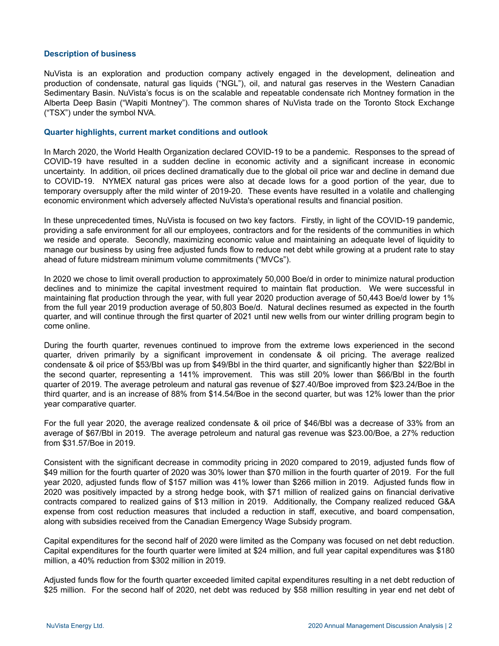#### **Description of business**

NuVista is an exploration and production company actively engaged in the development, delineation and production of condensate, natural gas liquids ("NGL"), oil, and natural gas reserves in the Western Canadian Sedimentary Basin. NuVista's focus is on the scalable and repeatable condensate rich Montney formation in the Alberta Deep Basin ("Wapiti Montney"). The common shares of NuVista trade on the Toronto Stock Exchange ("TSX") under the symbol NVA.

#### **Quarter highlights, current market conditions and outlook**

In March 2020, the World Health Organization declared COVID-19 to be a pandemic. Responses to the spread of COVID-19 have resulted in a sudden decline in economic activity and a significant increase in economic uncertainty. In addition, oil prices declined dramatically due to the global oil price war and decline in demand due to COVID-19. NYMEX natural gas prices were also at decade lows for a good portion of the year, due to temporary oversupply after the mild winter of 2019-20. These events have resulted in a volatile and challenging economic environment which adversely affected NuVista's operational results and financial position.

In these unprecedented times, NuVista is focused on two key factors. Firstly, in light of the COVID-19 pandemic, providing a safe environment for all our employees, contractors and for the residents of the communities in which we reside and operate. Secondly, maximizing economic value and maintaining an adequate level of liquidity to manage our business by using free adjusted funds flow to reduce net debt while growing at a prudent rate to stay ahead of future midstream minimum volume commitments ("MVCs").

In 2020 we chose to limit overall production to approximately 50,000 Boe/d in order to minimize natural production declines and to minimize the capital investment required to maintain flat production. We were successful in maintaining flat production through the year, with full year 2020 production average of 50,443 Boe/d lower by 1% from the full year 2019 production average of 50,803 Boe/d. Natural declines resumed as expected in the fourth quarter, and will continue through the first quarter of 2021 until new wells from our winter drilling program begin to come online.

During the fourth quarter, revenues continued to improve from the extreme lows experienced in the second quarter, driven primarily by a significant improvement in condensate & oil pricing. The average realized condensate & oil price of \$53/Bbl was up from \$49/Bbl in the third quarter, and significantly higher than \$22/Bbl in the second quarter, representing a 141% improvement. This was still 20% lower than \$66/Bbl in the fourth quarter of 2019. The average petroleum and natural gas revenue of \$27.40/Boe improved from \$23.24/Boe in the third quarter, and is an increase of 88% from \$14.54/Boe in the second quarter, but was 12% lower than the prior year comparative quarter.

For the full year 2020, the average realized condensate & oil price of \$46/Bbl was a decrease of 33% from an average of \$67/Bbl in 2019. The average petroleum and natural gas revenue was \$23.00/Boe, a 27% reduction from \$31.57/Boe in 2019.

Consistent with the significant decrease in commodity pricing in 2020 compared to 2019, adjusted funds flow of \$49 million for the fourth quarter of 2020 was 30% lower than \$70 million in the fourth quarter of 2019. For the full year 2020, adjusted funds flow of \$157 million was 41% lower than \$266 million in 2019. Adjusted funds flow in 2020 was positively impacted by a strong hedge book, with \$71 million of realized gains on financial derivative contracts compared to realized gains of \$13 million in 2019. Additionally, the Company realized reduced G&A expense from cost reduction measures that included a reduction in staff, executive, and board compensation, along with subsidies received from the Canadian Emergency Wage Subsidy program.

Capital expenditures for the second half of 2020 were limited as the Company was focused on net debt reduction. Capital expenditures for the fourth quarter were limited at \$24 million, and full year capital expenditures was \$180 million, a 40% reduction from \$302 million in 2019.

Adjusted funds flow for the fourth quarter exceeded limited capital expenditures resulting in a net debt reduction of \$25 million. For the second half of 2020, net debt was reduced by \$58 million resulting in year end net debt of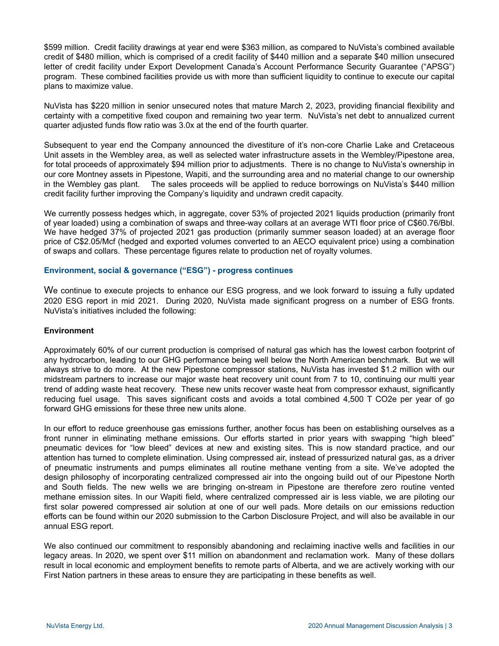\$599 million. Credit facility drawings at year end were \$363 million, as compared to NuVista's combined available credit of \$480 million, which is comprised of a credit facility of \$440 million and a separate \$40 million unsecured letter of credit facility under Export Development Canada's Account Performance Security Guarantee ("APSG") program. These combined facilities provide us with more than sufficient liquidity to continue to execute our capital plans to maximize value.

NuVista has \$220 million in senior unsecured notes that mature March 2, 2023, providing financial flexibility and certainty with a competitive fixed coupon and remaining two year term. NuVista's net debt to annualized current quarter adjusted funds flow ratio was 3.0x at the end of the fourth quarter.

Subsequent to year end the Company announced the divestiture of it's non-core Charlie Lake and Cretaceous Unit assets in the Wembley area, as well as selected water infrastructure assets in the Wembley/Pipestone area, for total proceeds of approximately \$94 million prior to adjustments. There is no change to NuVista's ownership in our core Montney assets in Pipestone, Wapiti, and the surrounding area and no material change to our ownership in the Wembley gas plant. The sales proceeds will be applied to reduce borrowings on NuVista's \$440 million credit facility further improving the Company's liquidity and undrawn credit capacity.

We currently possess hedges which, in aggregate, cover 53% of projected 2021 liquids production (primarily front of year loaded) using a combination of swaps and three-way collars at an average WTI floor price of C\$60.76/Bbl. We have hedged 37% of projected 2021 gas production (primarily summer season loaded) at an average floor price of C\$2.05/Mcf (hedged and exported volumes converted to an AECO equivalent price) using a combination of swaps and collars. These percentage figures relate to production net of royalty volumes.

#### **Environment, social & governance ("ESG") - progress continues**

We continue to execute projects to enhance our ESG progress, and we look forward to issuing a fully updated 2020 ESG report in mid 2021. During 2020, NuVista made significant progress on a number of ESG fronts. NuVista's initiatives included the following:

#### **Environment**

Approximately 60% of our current production is comprised of natural gas which has the lowest carbon footprint of any hydrocarbon, leading to our GHG performance being well below the North American benchmark. But we will always strive to do more. At the new Pipestone compressor stations, NuVista has invested \$1.2 million with our midstream partners to increase our major waste heat recovery unit count from 7 to 10, continuing our multi year trend of adding waste heat recovery. These new units recover waste heat from compressor exhaust, significantly reducing fuel usage. This saves significant costs and avoids a total combined 4,500 T CO2e per year of go forward GHG emissions for these three new units alone.

In our effort to reduce greenhouse gas emissions further, another focus has been on establishing ourselves as a front runner in eliminating methane emissions. Our efforts started in prior years with swapping "high bleed" pneumatic devices for "low bleed" devices at new and existing sites. This is now standard practice, and our attention has turned to complete elimination. Using compressed air, instead of pressurized natural gas, as a driver of pneumatic instruments and pumps eliminates all routine methane venting from a site. We've adopted the design philosophy of incorporating centralized compressed air into the ongoing build out of our Pipestone North and South fields. The new wells we are bringing on-stream in Pipestone are therefore zero routine vented methane emission sites. In our Wapiti field, where centralized compressed air is less viable, we are piloting our first solar powered compressed air solution at one of our well pads. More details on our emissions reduction efforts can be found within our 2020 submission to the Carbon Disclosure Project, and will also be available in our annual ESG report.

We also continued our commitment to responsibly abandoning and reclaiming inactive wells and facilities in our legacy areas. In 2020, we spent over \$11 million on abandonment and reclamation work. Many of these dollars result in local economic and employment benefits to remote parts of Alberta, and we are actively working with our First Nation partners in these areas to ensure they are participating in these benefits as well.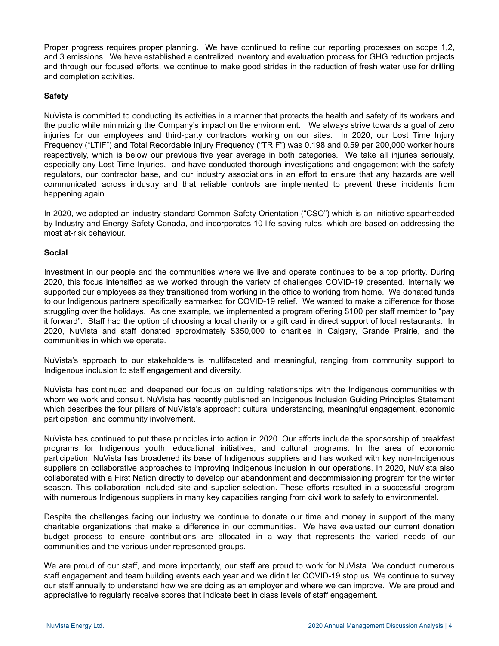Proper progress requires proper planning. We have continued to refine our reporting processes on scope 1,2, and 3 emissions. We have established a centralized inventory and evaluation process for GHG reduction projects and through our focused efforts, we continue to make good strides in the reduction of fresh water use for drilling and completion activities.

# **Safety**

NuVista is committed to conducting its activities in a manner that protects the health and safety of its workers and the public while minimizing the Company's impact on the environment. We always strive towards a goal of zero injuries for our employees and third-party contractors working on our sites. In 2020, our Lost Time Injury Frequency ("LTIF") and Total Recordable Injury Frequency ("TRIF") was 0.198 and 0.59 per 200,000 worker hours respectively, which is below our previous five year average in both categories. We take all injuries seriously, especially any Lost Time Injuries, and have conducted thorough investigations and engagement with the safety regulators, our contractor base, and our industry associations in an effort to ensure that any hazards are well communicated across industry and that reliable controls are implemented to prevent these incidents from happening again.

In 2020, we adopted an industry standard Common Safety Orientation ("CSO") which is an initiative spearheaded by Industry and Energy Safety Canada, and incorporates 10 life saving rules, which are based on addressing the most at-risk behaviour.

# **Social**

Investment in our people and the communities where we live and operate continues to be a top priority. During 2020, this focus intensified as we worked through the variety of challenges COVID-19 presented. Internally we supported our employees as they transitioned from working in the office to working from home. We donated funds to our Indigenous partners specifically earmarked for COVID-19 relief. We wanted to make a difference for those struggling over the holidays. As one example, we implemented a program offering \$100 per staff member to "pay it forward". Staff had the option of choosing a local charity or a gift card in direct support of local restaurants. In 2020, NuVista and staff donated approximately \$350,000 to charities in Calgary, Grande Prairie, and the communities in which we operate.

NuVista's approach to our stakeholders is multifaceted and meaningful, ranging from community support to Indigenous inclusion to staff engagement and diversity.

NuVista has continued and deepened our focus on building relationships with the Indigenous communities with whom we work and consult. NuVista has recently published an Indigenous Inclusion Guiding Principles Statement which describes the four pillars of NuVista's approach: cultural understanding, meaningful engagement, economic participation, and community involvement.

NuVista has continued to put these principles into action in 2020. Our efforts include the sponsorship of breakfast programs for Indigenous youth, educational initiatives, and cultural programs. In the area of economic participation, NuVista has broadened its base of Indigenous suppliers and has worked with key non-Indigenous suppliers on collaborative approaches to improving Indigenous inclusion in our operations. In 2020, NuVista also collaborated with a First Nation directly to develop our abandonment and decommissioning program for the winter season. This collaboration included site and supplier selection. These efforts resulted in a successful program with numerous Indigenous suppliers in many key capacities ranging from civil work to safety to environmental.

Despite the challenges facing our industry we continue to donate our time and money in support of the many charitable organizations that make a difference in our communities. We have evaluated our current donation budget process to ensure contributions are allocated in a way that represents the varied needs of our communities and the various under represented groups.

We are proud of our staff, and more importantly, our staff are proud to work for NuVista. We conduct numerous staff engagement and team building events each year and we didn't let COVID-19 stop us. We continue to survey our staff annually to understand how we are doing as an employer and where we can improve. We are proud and appreciative to regularly receive scores that indicate best in class levels of staff engagement.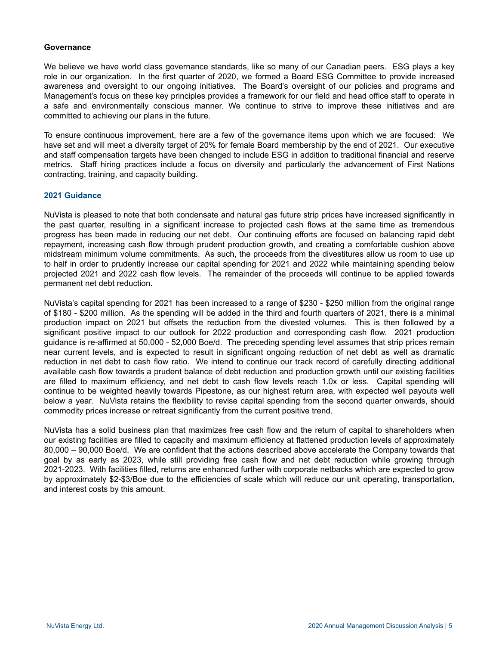#### **Governance**

We believe we have world class governance standards, like so many of our Canadian peers. ESG plays a key role in our organization. In the first quarter of 2020, we formed a Board ESG Committee to provide increased awareness and oversight to our ongoing initiatives. The Board's oversight of our policies and programs and Management's focus on these key principles provides a framework for our field and head office staff to operate in a safe and environmentally conscious manner. We continue to strive to improve these initiatives and are committed to achieving our plans in the future.

To ensure continuous improvement, here are a few of the governance items upon which we are focused: We have set and will meet a diversity target of 20% for female Board membership by the end of 2021. Our executive and staff compensation targets have been changed to include ESG in addition to traditional financial and reserve metrics. Staff hiring practices include a focus on diversity and particularly the advancement of First Nations contracting, training, and capacity building.

#### **2021 Guidance**

NuVista is pleased to note that both condensate and natural gas future strip prices have increased significantly in the past quarter, resulting in a significant increase to projected cash flows at the same time as tremendous progress has been made in reducing our net debt. Our continuing efforts are focused on balancing rapid debt repayment, increasing cash flow through prudent production growth, and creating a comfortable cushion above midstream minimum volume commitments. As such, the proceeds from the divestitures allow us room to use up to half in order to prudently increase our capital spending for 2021 and 2022 while maintaining spending below projected 2021 and 2022 cash flow levels. The remainder of the proceeds will continue to be applied towards permanent net debt reduction.

NuVista's capital spending for 2021 has been increased to a range of \$230 - \$250 million from the original range of \$180 - \$200 million. As the spending will be added in the third and fourth quarters of 2021, there is a minimal production impact on 2021 but offsets the reduction from the divested volumes. This is then followed by a significant positive impact to our outlook for 2022 production and corresponding cash flow. 2021 production guidance is re-affirmed at 50,000 - 52,000 Boe/d. The preceding spending level assumes that strip prices remain near current levels, and is expected to result in significant ongoing reduction of net debt as well as dramatic reduction in net debt to cash flow ratio. We intend to continue our track record of carefully directing additional available cash flow towards a prudent balance of debt reduction and production growth until our existing facilities are filled to maximum efficiency, and net debt to cash flow levels reach 1.0x or less. Capital spending will continue to be weighted heavily towards Pipestone, as our highest return area, with expected well payouts well below a year. NuVista retains the flexibility to revise capital spending from the second quarter onwards, should commodity prices increase or retreat significantly from the current positive trend.

NuVista has a solid business plan that maximizes free cash flow and the return of capital to shareholders when our existing facilities are filled to capacity and maximum efficiency at flattened production levels of approximately 80,000 – 90,000 Boe/d. We are confident that the actions described above accelerate the Company towards that goal by as early as 2023, while still providing free cash flow and net debt reduction while growing through 2021-2023. With facilities filled, returns are enhanced further with corporate netbacks which are expected to grow by approximately \$2-\$3/Boe due to the efficiencies of scale which will reduce our unit operating, transportation, and interest costs by this amount.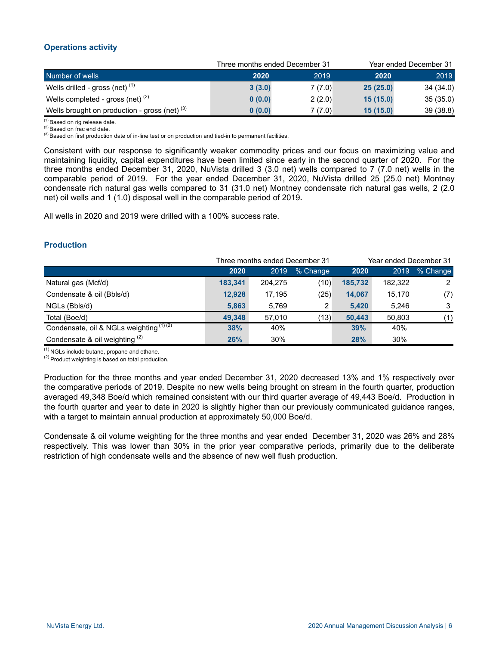# **Operations activity**

|                                                 |        | Three months ended December 31 | Year ended December 31 |           |  |  |
|-------------------------------------------------|--------|--------------------------------|------------------------|-----------|--|--|
| Number of wells                                 | 2020   | 2019                           | 2020                   | 2019      |  |  |
| Wells drilled - gross (net) $(1)$               | 3(3.0) | 7(7.0)                         | 25(25.0)               | 34 (34.0) |  |  |
| Wells completed - gross (net) $(2)$             | 0(0.0) | 2(2.0)                         | 15(15.0)               | 35(35.0)  |  |  |
| Wells brought on production - gross (net) $(3)$ | 0(0.0) | 7 (7.0)                        | 15(15.0)               | 39(38.8)  |  |  |

(1) Based on rig release date.

<sup>(2)</sup> Based on frac end date.

<sup>(3)</sup> Based on first production date of in-line test or on production and tied-in to permanent facilities.

Consistent with our response to significantly weaker commodity prices and our focus on maximizing value and maintaining liquidity, capital expenditures have been limited since early in the second quarter of 2020. For the three months ended December 31, 2020, NuVista drilled 3 (3.0 net) wells compared to 7 (7.0 net) wells in the comparable period of 2019. For the year ended December 31, 2020, NuVista drilled 25 (25.0 net) Montney condensate rich natural gas wells compared to 31 (31.0 net) Montney condensate rich natural gas wells, 2 (2.0 net) oil wells and 1 (1.0) disposal well in the comparable period of 2019**.**

All wells in 2020 and 2019 were drilled with a 100% success rate.

# **Production**

|                                           |         | Three months ended December 31 |          |            | Year ended December 31 |          |
|-------------------------------------------|---------|--------------------------------|----------|------------|------------------------|----------|
|                                           | 2020    | 2019                           | % Change | 2020       | 2019                   | % Change |
| Natural gas (Mcf/d)                       | 183,341 | 204,275                        | (10)     | 185,732    | 182.322                | 2        |
| Condensate & oil (Bbls/d)                 | 12,928  | 17,195                         | (25)     | 14,067     | 15,170                 | (7)      |
| NGLs (Bbls/d)                             | 5,863   | 5,769                          | 2        | 5,420      | 5,246                  | 3        |
| Total (Boe/d)                             | 49.348  | 57.010                         | (13)     | 50.443     | 50.803                 | (1)      |
| Condensate, oil & NGLs weighting $(1)(2)$ | 38%     | 40%                            |          | 39%        | 40%                    |          |
| Condensate & oil weighting $(2)$          | 26%     | 30%                            |          | <b>28%</b> | 30%                    |          |

 $(1)$  NGLs include butane, propane and ethane.

 $(2)$  Product weighting is based on total production.

Production for the three months and year ended December 31, 2020 decreased 13% and 1% respectively over the comparative periods of 2019. Despite no new wells being brought on stream in the fourth quarter, production averaged 49,348 Boe/d which remained consistent with our third quarter average of 49,443 Boe/d. Production in the fourth quarter and year to date in 2020 is slightly higher than our previously communicated guidance ranges, with a target to maintain annual production at approximately 50,000 Boe/d.

Condensate & oil volume weighting for the three months and year ended December 31, 2020 was 26% and 28% respectively. This was lower than 30% in the prior year comparative periods, primarily due to the deliberate restriction of high condensate wells and the absence of new well flush production.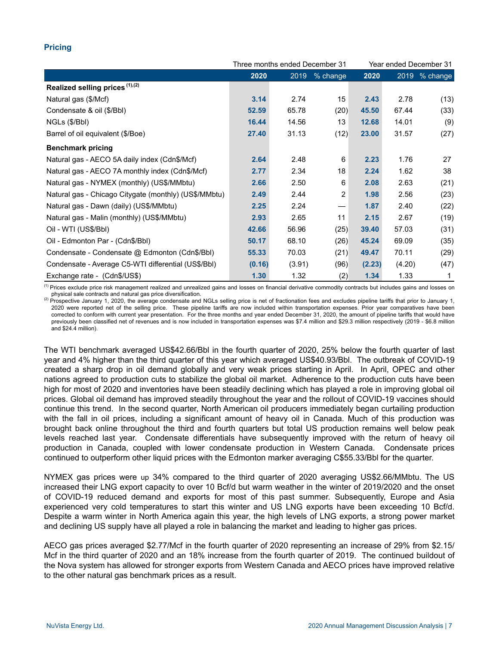# **Pricing**

|                                                       |        | Three months ended December 31 |                   |        | Year ended December 31 |               |  |
|-------------------------------------------------------|--------|--------------------------------|-------------------|--------|------------------------|---------------|--|
|                                                       | 2020   | 2019                           | $%$ change        | 2020   |                        | 2019 % change |  |
| Realized selling prices (1),(2)                       |        |                                |                   |        |                        |               |  |
| Natural gas (\$/Mcf)                                  | 3.14   | 2.74                           | 15                | 2.43   | 2.78                   | (13)          |  |
| Condensate & oil (\$/Bbl)                             | 52.59  | 65.78                          | (20)              | 45.50  | 67.44                  | (33)          |  |
| NGLs (\$/Bbl)                                         | 16.44  | 14.56                          | 13                | 12.68  | 14.01                  | (9)           |  |
| Barrel of oil equivalent (\$/Boe)                     | 27.40  | 31.13                          | (12)              | 23.00  | 31.57                  | (27)          |  |
| <b>Benchmark pricing</b>                              |        |                                |                   |        |                        |               |  |
| Natural gas - AECO 5A daily index (Cdn\$/Mcf)         | 2.64   | 2.48                           | 6                 | 2.23   | 1.76                   | 27            |  |
| Natural gas - AECO 7A monthly index (Cdn\$/Mcf)       | 2.77   | 2.34                           | 18                | 2.24   | 1.62                   | 38            |  |
| Natural gas - NYMEX (monthly) (US\$/MMbtu)            | 2.66   | 2.50                           | 6                 | 2.08   | 2.63                   | (21)          |  |
| Natural gas - Chicago Citygate (monthly) (US\$/MMbtu) | 2.49   | 2.44                           | 2                 | 1.98   | 2.56                   | (23)          |  |
| Natural gas - Dawn (daily) (US\$/MMbtu)               | 2.25   | 2.24                           | $\hspace{0.05cm}$ | 1.87   | 2.40                   | (22)          |  |
| Natural gas - Malin (monthly) (US\$/MMbtu)            | 2.93   | 2.65                           | 11                | 2.15   | 2.67                   | (19)          |  |
| Oil - WTI (US\$/BbI)                                  | 42.66  | 56.96                          | (25)              | 39.40  | 57.03                  | (31)          |  |
| Oil - Edmonton Par - (Cdn\$/Bbl)                      | 50.17  | 68.10                          | (26)              | 45.24  | 69.09                  | (35)          |  |
| Condensate - Condensate @ Edmonton (Cdn\$/Bbl)        | 55.33  | 70.03                          | (21)              | 49.47  | 70.11                  | (29)          |  |
| Condensate - Average C5-WTI differential (US\$/BbI)   | (0.16) | (3.91)                         | (96)              | (2.23) | (4.20)                 | (47)          |  |
| Exchange rate - (Cdn\$/US\$)                          | 1.30   | 1.32                           | (2)               | 1.34   | 1.33                   | 1             |  |

<sup>(1)</sup> Prices exclude price risk management realized and unrealized gains and losses on financial derivative commodity contracts but includes gains and losses on physical sale contracts and natural gas price diversification.

Prospective January 1, 2020, the average condensate and NGLs selling price is net of fractionation fees and excludes pipeline tariffs that prior to January 1, 2020 were reported net of the selling price. These pipeline tariffs are now included within transportation expenses. Prior year comparatives have been corrected to conform with current year presentation. For the three months and year ended December 31, 2020, the amount of pipeline tariffs that would have previously been classified net of revenues and is now included in transportation expenses was \$7.4 million and \$29.3 million respectively (2019 - \$6.8 million and \$24.4 million).

The WTI benchmark averaged US\$42.66/Bbl in the fourth quarter of 2020, 25% below the fourth quarter of last year and 4% higher than the third quarter of this year which averaged US\$40.93/Bbl. The outbreak of COVID-19 created a sharp drop in oil demand globally and very weak prices starting in April. In April, OPEC and other nations agreed to production cuts to stabilize the global oil market. Adherence to the production cuts have been high for most of 2020 and inventories have been steadily declining which has played a role in improving global oil prices. Global oil demand has improved steadily throughout the year and the rollout of COVID-19 vaccines should continue this trend. In the second quarter, North American oil producers immediately began curtailing production with the fall in oil prices, including a significant amount of heavy oil in Canada. Much of this production was brought back online throughout the third and fourth quarters but total US production remains well below peak levels reached last year. Condensate differentials have subsequently improved with the return of heavy oil production in Canada, coupled with lower condensate production in Western Canada. Condensate prices continued to outperform other liquid prices with the Edmonton marker averaging C\$55.33/Bbl for the quarter.

NYMEX gas prices were up 34% compared to the third quarter of 2020 averaging US\$2.66/MMbtu. The US increased their LNG export capacity to over 10 Bcf/d but warm weather in the winter of 2019/2020 and the onset of COVID-19 reduced demand and exports for most of this past summer. Subsequently, Europe and Asia experienced very cold temperatures to start this winter and US LNG exports have been exceeding 10 Bcf/d. Despite a warm winter in North America again this year, the high levels of LNG exports, a strong power market and declining US supply have all played a role in balancing the market and leading to higher gas prices.

AECO gas prices averaged \$2.77/Mcf in the fourth quarter of 2020 representing an increase of 29% from \$2.15/ Mcf in the third quarter of 2020 and an 18% increase from the fourth quarter of 2019. The continued buildout of the Nova system has allowed for stronger exports from Western Canada and AECO prices have improved relative to the other natural gas benchmark prices as a result.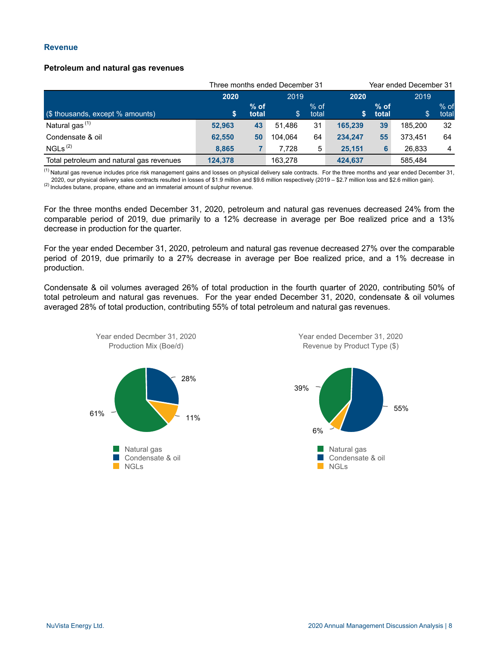#### **Revenue**

#### **Petroleum and natural gas revenues**

|                                          | Three months ended December 31 |                 |         |                 |         |                 | Year ended December 31 |                 |  |
|------------------------------------------|--------------------------------|-----------------|---------|-----------------|---------|-----------------|------------------------|-----------------|--|
|                                          | 2020                           |                 | 2019    | 2020            |         | 2019            |                        |                 |  |
| (\$ thousands, except % amounts)         | S                              | $%$ of<br>total | \$.     | $%$ of<br>total | S.      | $%$ of<br>total | \$                     | $%$ of<br>total |  |
| Natural gas <sup>(1)</sup>               | 52.963                         | 43              | 51.486  | 31              | 165.239 | 39              | 185.200                | 32              |  |
| Condensate & oil                         | 62.550                         | 50              | 104.064 | 64              | 234.247 | 55              | 373.451                | 64              |  |
| NGLs <sup>(2)</sup>                      | 8.865                          |                 | 7.728   | 5               | 25.151  | 6               | 26,833                 | 4               |  |
| Total petroleum and natural gas revenues | 124.378                        |                 | 163.278 |                 | 424,637 |                 | 585.484                |                 |  |

 $<sup>(1)</sup>$  Natural gas revenue includes price risk management gains and losses on physical delivery sale contracts. For the three months and year ended December 31,</sup> 2020, our physical delivery sales contracts resulted in losses of \$1.9 million and \$9.6 million respectively (2019 – \$2.7 million loss and \$2.6 million gain).

(2) Includes butane, propane, ethane and an immaterial amount of sulphur revenue.

For the three months ended December 31, 2020, petroleum and natural gas revenues decreased 24% from the comparable period of 2019, due primarily to a 12% decrease in average per Boe realized price and a 13% decrease in production for the quarter.

For the year ended December 31, 2020, petroleum and natural gas revenue decreased 27% over the comparable period of 2019, due primarily to a 27% decrease in average per Boe realized price, and a 1% decrease in production.

Condensate & oil volumes averaged 26% of total production in the fourth quarter of 2020, contributing 50% of total petroleum and natural gas revenues. For the year ended December 31, 2020, condensate & oil volumes averaged 28% of total production, contributing 55% of total petroleum and natural gas revenues.



Year ended December 31, 2020 Revenue by Product Type (\$)

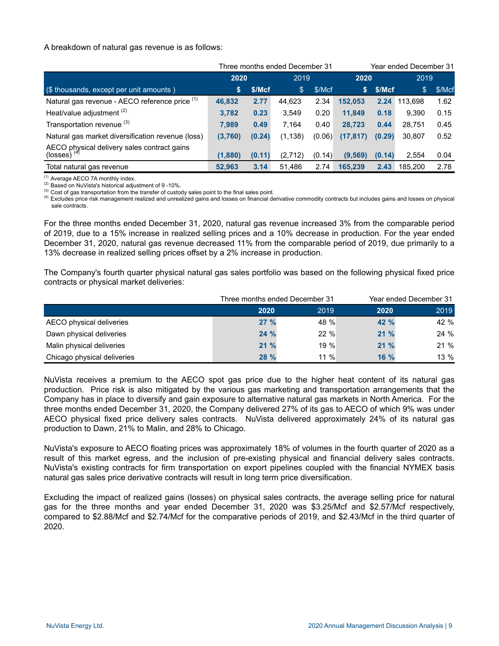A breakdown of natural gas revenue is as follows:

|                                                                  |         | Year ended December 31<br>Three months ended December 31 |          |        |           |        |         |        |
|------------------------------------------------------------------|---------|----------------------------------------------------------|----------|--------|-----------|--------|---------|--------|
|                                                                  | 2020    |                                                          | 2019     |        | 2020      |        | 2019    |        |
| (\$ thousands, except per unit amounts)                          | S       | \$/Mcf                                                   | \$       | \$/Mcf | S.        | \$/Mcf | \$      | \$/Mcf |
| Natural gas revenue - AECO reference price (1)                   | 46,832  | 2.77                                                     | 44,623   | 2.34   | 152,053   | 2.24   | 113.698 | 1.62   |
| Heat/value adjustment <sup>(2)</sup>                             | 3,782   | 0.23                                                     | 3,549    | 0.20   | 11,849    | 0.18   | 9.390   | 0.15   |
| Transportation revenue (3)                                       | 7.989   | 0.49                                                     | 7,164    | 0.40   | 28,723    | 0.44   | 28,751  | 0.45   |
| Natural gas market diversification revenue (loss)                | (3,760) | (0.24)                                                   | (1, 138) | (0.06) | (17, 817) | (0.29) | 30.807  | 0.52   |
| AECO physical delivery sales contract gains<br>(losses) $^{(4)}$ | (1,880) | (0.11)                                                   | (2,712)  | (0.14) | (9, 569)  | (0.14) | 2.554   | 0.04   |
| Total natural gas revenue                                        | 52,963  | 3.14                                                     | 51,486   | 2.74   | 165,239   | 2.43   | 185,200 | 2.78   |
|                                                                  |         |                                                          |          |        |           |        |         |        |

(1) Average AECO 7A monthly index.

(2) Based on NuVista's historical adjustment of 9 -10%.

(3) Cost of gas transportation from the transfer of custody sales point to the final sales point.

(4) Excludes price risk management realized and unrealized gains and losses on financial derivative commodity contracts but includes gains and losses on physical sale contracts.

For the three months ended December 31, 2020, natural gas revenue increased 3% from the comparable period of 2019, due to a 15% increase in realized selling prices and a 10% decrease in production. For the year ended December 31, 2020, natural gas revenue decreased 11% from the comparable period of 2019, due primarily to a 13% decrease in realized selling prices offset by a 2% increase in production.

The Company's fourth quarter physical natural gas sales portfolio was based on the following physical fixed price contracts or physical market deliveries:

|                             |             | Three months ended December 31 |        | Year ended December 31 |  |  |
|-----------------------------|-------------|--------------------------------|--------|------------------------|--|--|
|                             | 2020        | 2019                           | 2020   | 2019                   |  |  |
| AECO physical deliveries    | $27\%$      | 48 %                           | 42%    | 42 %                   |  |  |
| Dawn physical deliveries    | 24%         | $22 \%$                        | 21%    | 24 %                   |  |  |
| Malin physical deliveries   | $21\%$      | $19 \%$                        | 21%    | 21 %                   |  |  |
| Chicago physical deliveries | <b>28 %</b> | $11\%$                         | $16\%$ | 13 %                   |  |  |

NuVista receives a premium to the AECO spot gas price due to the higher heat content of its natural gas production. Price risk is also mitigated by the various gas marketing and transportation arrangements that the Company has in place to diversify and gain exposure to alternative natural gas markets in North America. For the three months ended December 31, 2020, the Company delivered 27% of its gas to AECO of which 9% was under AECO physical fixed price delivery sales contracts. NuVista delivered approximately 24% of its natural gas production to Dawn, 21% to Malin, and 28% to Chicago.

NuVista's exposure to AECO floating prices was approximately 18% of volumes in the fourth quarter of 2020 as a result of this market egress, and the inclusion of pre-existing physical and financial delivery sales contracts. NuVista's existing contracts for firm transportation on export pipelines coupled with the financial NYMEX basis natural gas sales price derivative contracts will result in long term price diversification.

Excluding the impact of realized gains (losses) on physical sales contracts, the average selling price for natural gas for the three months and year ended December 31, 2020 was \$3.25/Mcf and \$2.57/Mcf respectively, compared to \$2.88/Mcf and \$2.74/Mcf for the comparative periods of 2019, and \$2.43/Mcf in the third quarter of 2020.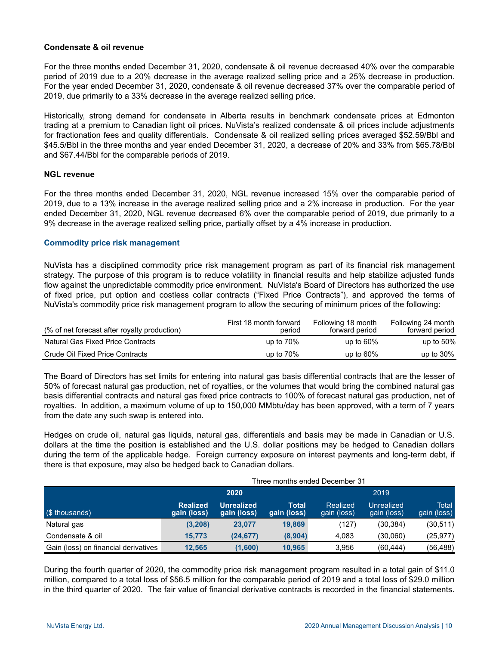### **Condensate & oil revenue**

For the three months ended December 31, 2020, condensate & oil revenue decreased 40% over the comparable period of 2019 due to a 20% decrease in the average realized selling price and a 25% decrease in production. For the year ended December 31, 2020, condensate & oil revenue decreased 37% over the comparable period of 2019, due primarily to a 33% decrease in the average realized selling price.

Historically, strong demand for condensate in Alberta results in benchmark condensate prices at Edmonton trading at a premium to Canadian light oil prices. NuVista's realized condensate & oil prices include adjustments for fractionation fees and quality differentials. Condensate & oil realized selling prices averaged \$52.59/Bbl and \$45.5/Bbl in the three months and year ended December 31, 2020, a decrease of 20% and 33% from \$65.78/Bbl and \$67.44/Bbl for the comparable periods of 2019.

#### **NGL revenue**

For the three months ended December 31, 2020, NGL revenue increased 15% over the comparable period of 2019, due to a 13% increase in the average realized selling price and a 2% increase in production. For the year ended December 31, 2020, NGL revenue decreased 6% over the comparable period of 2019, due primarily to a 9% decrease in the average realized selling price, partially offset by a 4% increase in production.

#### **Commodity price risk management**

NuVista has a disciplined commodity price risk management program as part of its financial risk management strategy. The purpose of this program is to reduce volatility in financial results and help stabilize adjusted funds flow against the unpredictable commodity price environment. NuVista's Board of Directors has authorized the use of fixed price, put option and costless collar contracts ("Fixed Price Contracts"), and approved the terms of NuVista's commodity price risk management program to allow the securing of minimum prices of the following:

| (% of net forecast after royalty production) | First 18 month forward<br>period | Following 18 month<br>forward period | Following 24 month<br>forward period |
|----------------------------------------------|----------------------------------|--------------------------------------|--------------------------------------|
| <b>Natural Gas Fixed Price Contracts</b>     | up to $70\%$                     | up to $60\%$                         | up to $50\%$                         |
| Crude Oil Fixed Price Contracts              | up to $70\%$                     | up to $60\%$                         | up to $30\%$                         |

The Board of Directors has set limits for entering into natural gas basis differential contracts that are the lesser of 50% of forecast natural gas production, net of royalties, or the volumes that would bring the combined natural gas basis differential contracts and natural gas fixed price contracts to 100% of forecast natural gas production, net of royalties. In addition, a maximum volume of up to 150,000 MMbtu/day has been approved, with a term of 7 years from the date any such swap is entered into.

Hedges on crude oil, natural gas liquids, natural gas, differentials and basis may be made in Canadian or U.S. dollars at the time the position is established and the U.S. dollar positions may be hedged to Canadian dollars during the term of the applicable hedge. Foreign currency exposure on interest payments and long-term debt, if there is that exposure, may also be hedged back to Canadian dollars.

|                                      |                                |                                  |                      | Three months ended December 31 |                           |                      |  |  |  |  |
|--------------------------------------|--------------------------------|----------------------------------|----------------------|--------------------------------|---------------------------|----------------------|--|--|--|--|
|                                      |                                | 2020                             | 2019                 |                                |                           |                      |  |  |  |  |
| (\$ thousands)                       | <b>Realized</b><br>gain (loss) | <b>Unrealized</b><br>gain (loss) | Total<br>gain (loss) | Realized<br>gain (loss)        | Unrealized<br>gain (loss) | Total<br>gain (loss) |  |  |  |  |
| Natural gas                          | (3,208)                        | 23,077                           | 19,869               | (127)                          | (30, 384)                 | (30, 511)            |  |  |  |  |
| Condensate & oil                     | 15.773                         | (24, 677)                        | (8,904)              | 4.083                          | (30,060)                  | (25, 977)            |  |  |  |  |
| Gain (loss) on financial derivatives | 12.565                         | (1,600)                          | 10.965               | 3.956                          | (60.444)                  | (56,488)             |  |  |  |  |

During the fourth quarter of 2020, the commodity price risk management program resulted in a total gain of \$11.0 million, compared to a total loss of \$56.5 million for the comparable period of 2019 and a total loss of \$29.0 million in the third quarter of 2020. The fair value of financial derivative contracts is recorded in the financial statements.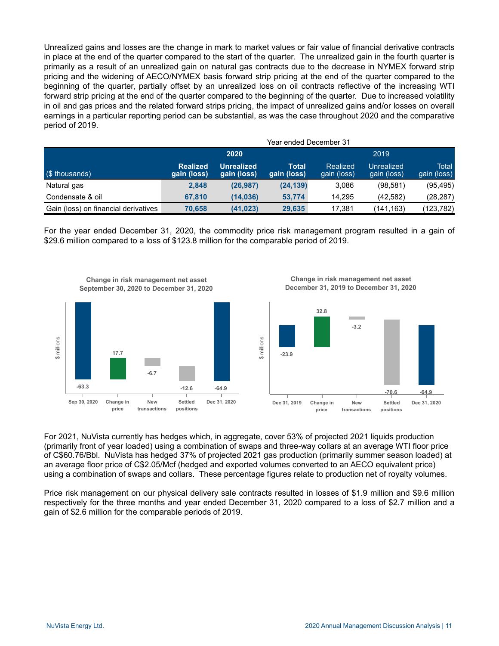Unrealized gains and losses are the change in mark to market values or fair value of financial derivative contracts in place at the end of the quarter compared to the start of the quarter. The unrealized gain in the fourth quarter is primarily as a result of an unrealized gain on natural gas contracts due to the decrease in NYMEX forward strip pricing and the widening of AECO/NYMEX basis forward strip pricing at the end of the quarter compared to the beginning of the quarter, partially offset by an unrealized loss on oil contracts reflective of the increasing WTI forward strip pricing at the end of the quarter compared to the beginning of the quarter. Due to increased volatility in oil and gas prices and the related forward strips pricing, the impact of unrealized gains and/or losses on overall earnings in a particular reporting period can be substantial, as was the case throughout 2020 and the comparative period of 2019.

|                                      | Year ended December 31         |                           |                      |                         |                           |                             |  |  |  |
|--------------------------------------|--------------------------------|---------------------------|----------------------|-------------------------|---------------------------|-----------------------------|--|--|--|
|                                      |                                | 2020                      |                      |                         | 2019                      |                             |  |  |  |
| (\$ thousands)                       | <b>Realized</b><br>gain (loss) | Unrealized<br>gain (loss) | Total<br>gain (loss) | Realized<br>gain (loss) | Unrealized<br>gain (loss) | <b>Total</b><br>gain (loss) |  |  |  |
| Natural gas                          | 2,848                          | (26, 987)                 | (24, 139)            | 3,086                   | (98,581)                  | (95, 495)                   |  |  |  |
| Condensate & oil                     | 67.810                         | (14.036)                  | 53.774               | 14.295                  | (42.582)                  | (28, 287)                   |  |  |  |
| Gain (loss) on financial derivatives | 70.658                         | (41, 023)                 | 29,635               | 17.381                  | (141,163)                 | (123,782)                   |  |  |  |

For the year ended December 31, 2020, the commodity price risk management program resulted in a gain of \$29.6 million compared to a loss of \$123.8 million for the comparable period of 2019.



**Change in risk management net asset September 30, 2020 to December 31, 2020**



**New transactions**

**Dec 31, 2019 Change in**

**price**

**-70.6 -64.9**

**Dec 31, 2020**

**Settled positions**

**Change in risk management net asset December 31, 2019 to December 31, 2020**

For 2021, NuVista currently has hedges which, in aggregate, cover 53% of projected 2021 liquids production (primarily front of year loaded) using a combination of swaps and three-way collars at an average WTI floor price of C\$60.76/Bbl. NuVista has hedged 37% of projected 2021 gas production (primarily summer season loaded) at an average floor price of C\$2.05/Mcf (hedged and exported volumes converted to an AECO equivalent price) using a combination of swaps and collars. These percentage figures relate to production net of royalty volumes.

Price risk management on our physical delivery sale contracts resulted in losses of \$1.9 million and \$9.6 million respectively for the three months and year ended December 31, 2020 compared to a loss of \$2.7 million and a gain of \$2.6 million for the comparable periods of 2019.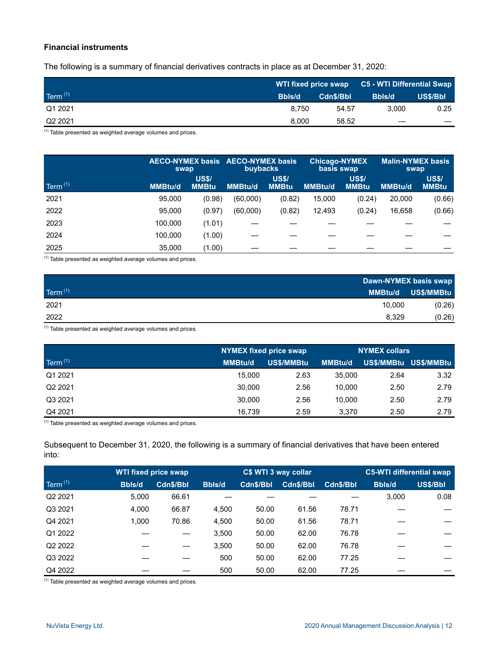# **Financial instruments**

The following is a summary of financial derivatives contracts in place as at December 31, 2020:

|                     |               |           | WTI fixed price swap C5 - WTI Differential Swap |          |  |
|---------------------|---------------|-----------|-------------------------------------------------|----------|--|
| Term <sup>(1)</sup> | <b>Bbls/d</b> | Cdn\$/Bbl | Bbls/d                                          | US\$/Bbl |  |
| Q1 2021             | 8.750         | 54.57     | 3.000                                           | 0.25     |  |
| Q <sub>2</sub> 2021 | 8.000         | 58.52     |                                                 |          |  |

 $(1)$  Table presented as weighted average volumes and prices.

|            | swap           |                              | AECO-NYMEX basis AECO-NYMEX basis<br><b>buybacks</b> |                              | <b>Chicago-NYMEX</b><br>basis swap |                              | <b>Malin-NYMEX basis</b><br>swap |                              |
|------------|----------------|------------------------------|------------------------------------------------------|------------------------------|------------------------------------|------------------------------|----------------------------------|------------------------------|
| Term $(1)$ | <b>MMBtu/d</b> | <b>US\$/</b><br><b>MMBtu</b> | <b>MMBtu/d</b>                                       | <b>US\$/</b><br><b>MMBtu</b> | <b>MMBtu/d</b>                     | <b>US\$/</b><br><b>MMBtu</b> | <b>MMBtu/d</b>                   | <b>US\$/</b><br><b>MMBtu</b> |
| 2021       | 95.000         | (0.98)                       | (60,000)                                             | (0.82)                       | 15,000                             | (0.24)                       | 20,000                           | (0.66)                       |
| 2022       | 95.000         | (0.97)                       | (60,000)                                             | (0.82)                       | 12,493                             | (0.24)                       | 16,658                           | (0.66)                       |
| 2023       | 100.000        | (1.01)                       |                                                      |                              |                                    |                              |                                  |                              |
| 2024       | 100.000        | (1.00)                       |                                                      |                              |                                    |                              |                                  |                              |
| 2025       | 35,000         | (1.00)                       |                                                      |                              |                                    |                              |                                  |                              |

 $(1)$  Table presented as weighted average volumes and prices.

|            | Dawn-NYMEX basis swap |            |  |
|------------|-----------------------|------------|--|
| Term $(1)$ | <b>MMBtu/d</b>        | US\$/MMBtu |  |
| 2021       | 10.000                | (0.26)     |  |
| 2022       | 8.329                 | (0.26)     |  |

 $(1)$  Table presented as weighted average volumes and prices.

|                     |                | <b>NYMEX fixed price swap</b> |                | <b>NYMEX collars</b> |                       |
|---------------------|----------------|-------------------------------|----------------|----------------------|-----------------------|
| Term $(1)$          | <b>MMBtu/d</b> | US\$/MMBtu                    | <b>MMBtu/d</b> |                      | US\$/MMBtu US\$/MMBtu |
| Q1 2021             | 15.000         | 2.63                          | 35,000         | 2.64                 | 3.32                  |
| Q <sub>2</sub> 2021 | 30.000         | 2.56                          | 10.000         | 2.50                 | 2.79                  |
| Q3 2021             | 30.000         | 2.56                          | 10.000         | 2.50                 | 2.79                  |
| Q4 2021             | 16.739         | 2.59                          | 3.370          | 2.50                 | 2.79                  |

 $(1)$  Table presented as weighted average volumes and prices.

Subsequent to December 31, 2020, the following is a summary of financial derivatives that have been entered into:

| WTI fixed price swap |               |           | C\$ WTI 3 way collar |           |           |           | <b>C5-WTI differential swap</b> |          |
|----------------------|---------------|-----------|----------------------|-----------|-----------|-----------|---------------------------------|----------|
| Term $(1)$           | <b>Bbls/d</b> | Cdn\$/Bbl | <b>Bbls/d</b>        | Cdn\$/Bbl | Cdn\$/Bbl | Cdn\$/Bbl | <b>Bbls/d</b>                   | US\$/Bbl |
| Q2 2021              | 5.000         | 66.61     |                      |           |           |           | 3,000                           | 0.08     |
| Q3 2021              | 4,000         | 66.87     | 4.500                | 50.00     | 61.56     | 78.71     |                                 |          |
| Q4 2021              | 1.000         | 70.86     | 4.500                | 50.00     | 61.56     | 78.71     |                                 |          |
| Q1 2022              |               |           | 3.500                | 50.00     | 62.00     | 76.78     |                                 |          |
| Q2 2022              |               |           | 3.500                | 50.00     | 62.00     | 76.78     |                                 |          |
| Q3 2022              |               |           | 500                  | 50.00     | 62.00     | 77.25     |                                 |          |
| Q4 2022              |               |           | 500                  | 50.00     | 62.00     | 77.25     |                                 |          |

 $(1)$  Table presented as weighted average volumes and prices.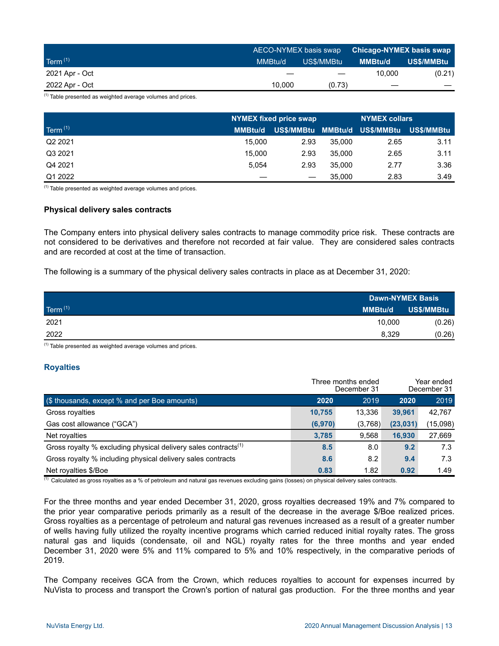|                | AECO-NYMEX basis swap |            | / Chicago-NYMEX basis swap ∥ |            |  |
|----------------|-----------------------|------------|------------------------------|------------|--|
| Term $(1)$     | MMBtu/d               | US\$/MMBtu | <b>MMBtu/d</b>               | US\$/MMBtu |  |
| 2021 Apr - Oct |                       |            | 10.000                       | (0.21)     |  |
| 2022 Apr - Oct | 10.000                | (0.73)     |                              |            |  |

 $(1)$  Table presented as weighted average volumes and prices.

|                     | NYMEX fixed price swap |      |        | <b>NYMEX collars</b>                     |      |
|---------------------|------------------------|------|--------|------------------------------------------|------|
| Term $(1)$          | <b>MMBtu/d</b>         |      |        | US\$/MMBtu MMBtu/d US\$/MMBtu US\$/MMBtu |      |
| Q <sub>2</sub> 2021 | 15.000                 | 2.93 | 35,000 | 2.65                                     | 3.11 |
| Q3 2021             | 15.000                 | 2.93 | 35,000 | 2.65                                     | 3.11 |
| Q4 2021             | 5.054                  | 2.93 | 35.000 | 2.77                                     | 3.36 |
| Q1 2022             |                        |      | 35,000 | 2.83                                     | 3.49 |

 $(1)$  Table presented as weighted average volumes and prices.

#### **Physical delivery sales contracts**

The Company enters into physical delivery sales contracts to manage commodity price risk. These contracts are not considered to be derivatives and therefore not recorded at fair value. They are considered sales contracts and are recorded at cost at the time of transaction.

The following is a summary of the physical delivery sales contracts in place as at December 31, 2020:

|            |                | <b>Dawn-NYMEX Basis</b> |  |  |
|------------|----------------|-------------------------|--|--|
| Term $(1)$ | <b>MMBtu/d</b> | US\$/MMBtu              |  |  |
| 2021       | 10.000         | (0.26)                  |  |  |
| 2022       | 8,329          | (0.26)                  |  |  |

 $<sup>(1)</sup>$  Table presented as weighted average volumes and prices.</sup>

#### **Royalties**

|                                                                            |         | Three months ended<br>December 31 | Year ended<br>December 31 |          |
|----------------------------------------------------------------------------|---------|-----------------------------------|---------------------------|----------|
| $($ \$ thousands, except $%$ and per Boe amounts)                          | 2020    | 2019                              | 2020                      | 2019     |
| Gross royalties                                                            | 10,755  | 13.336                            | 39.961                    | 42,767   |
| Gas cost allowance ("GCA")                                                 | (6,970) | (3,768)                           | (23, 031)                 | (15,098) |
| Net royalties                                                              | 3,785   | 9.568                             | 16.930                    | 27,669   |
| Gross royalty % excluding physical delivery sales contracts <sup>(1)</sup> | 8.5     | 8.0                               | 9.2                       | 7.3      |
| Gross royalty % including physical delivery sales contracts                | 8.6     | 8.2                               | 9.4                       | 7.3      |
| Net royalties \$/Boe                                                       | 0.83    | 1.82                              | 0.92                      | 1.49     |

 $\frac{(1)}{(1)}$  Calculated as gross royalties as a % of petroleum and natural gas revenues excluding gains (losses) on physical delivery sales contracts.

For the three months and year ended December 31, 2020, gross royalties decreased 19% and 7% compared to the prior year comparative periods primarily as a result of the decrease in the average \$/Boe realized prices. Gross royalties as a percentage of petroleum and natural gas revenues increased as a result of a greater number of wells having fully utilized the royalty incentive programs which carried reduced initial royalty rates. The gross natural gas and liquids (condensate, oil and NGL) royalty rates for the three months and year ended December 31, 2020 were 5% and 11% compared to 5% and 10% respectively, in the comparative periods of 2019.

The Company receives GCA from the Crown, which reduces royalties to account for expenses incurred by NuVista to process and transport the Crown's portion of natural gas production. For the three months and year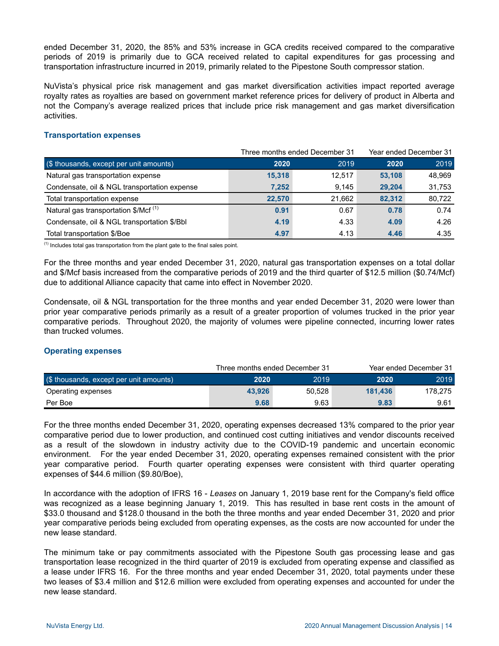ended December 31, 2020, the 85% and 53% increase in GCA credits received compared to the comparative periods of 2019 is primarily due to GCA received related to capital expenditures for gas processing and transportation infrastructure incurred in 2019, primarily related to the Pipestone South compressor station.

NuVista's physical price risk management and gas market diversification activities impact reported average royalty rates as royalties are based on government market reference prices for delivery of product in Alberta and not the Company's average realized prices that include price risk management and gas market diversification activities.

#### **Transportation expenses**

|                                                  |        | Three months ended December 31 |        | Year ended December 31 |
|--------------------------------------------------|--------|--------------------------------|--------|------------------------|
| (\$ thousands, except per unit amounts)          | 2020   | 2019                           | 2020   | 2019                   |
| Natural gas transportation expense               | 15,318 | 12.517                         | 53.108 | 48,969                 |
| Condensate, oil & NGL transportation expense     | 7,252  | 9.145                          | 29.204 | 31,753                 |
| Total transportation expense                     | 22.570 | 21.662                         | 82.312 | 80,722                 |
| Natural gas transportation \$/Mcf <sup>(1)</sup> | 0.91   | 0.67                           | 0.78   | 0.74                   |
| Condensate, oil & NGL transportation \$/Bbl      | 4.19   | 4.33                           | 4.09   | 4.26                   |
| Total transportation \$/Boe                      | 4.97   | 4.13                           | 4.46   | 4.35                   |

 $<sup>(1)</sup>$  Includes total gas transportation from the plant gate to the final sales point.</sup>

For the three months and year ended December 31, 2020, natural gas transportation expenses on a total dollar and \$/Mcf basis increased from the comparative periods of 2019 and the third quarter of \$12.5 million (\$0.74/Mcf) due to additional Alliance capacity that came into effect in November 2020.

Condensate, oil & NGL transportation for the three months and year ended December 31, 2020 were lower than prior year comparative periods primarily as a result of a greater proportion of volumes trucked in the prior year comparative periods. Throughout 2020, the majority of volumes were pipeline connected, incurring lower rates than trucked volumes.

#### **Operating expenses**

|                                                               |        | Three months ended December 31 |         | Year ended December 31 |
|---------------------------------------------------------------|--------|--------------------------------|---------|------------------------|
| $\left( \text{\$ thousands, except per unit amounts} \right)$ | 2020   | 2019                           | 2020    | 2019                   |
| Operating expenses                                            | 43.926 | 50.528                         | 181.436 | 178.275                |
| Per Boe                                                       | 9.68   | 9.63                           | 9.83    | 9.61                   |

For the three months ended December 31, 2020, operating expenses decreased 13% compared to the prior year comparative period due to lower production, and continued cost cutting initiatives and vendor discounts received as a result of the slowdown in industry activity due to the COVID-19 pandemic and uncertain economic environment. For the year ended December 31, 2020, operating expenses remained consistent with the prior year comparative period. Fourth quarter operating expenses were consistent with third quarter operating expenses of \$44.6 million (\$9.80/Boe),

In accordance with the adoption of IFRS 16 - *Leases* on January 1, 2019 base rent for the Company's field office was recognized as a lease beginning January 1, 2019. This has resulted in base rent costs in the amount of \$33.0 thousand and \$128.0 thousand in the both the three months and year ended December 31, 2020 and prior year comparative periods being excluded from operating expenses, as the costs are now accounted for under the new lease standard.

The minimum take or pay commitments associated with the Pipestone South gas processing lease and gas transportation lease recognized in the third quarter of 2019 is excluded from operating expense and classified as a lease under IFRS 16. For the three months and year ended December 31, 2020, total payments under these two leases of \$3.4 million and \$12.6 million were excluded from operating expenses and accounted for under the new lease standard.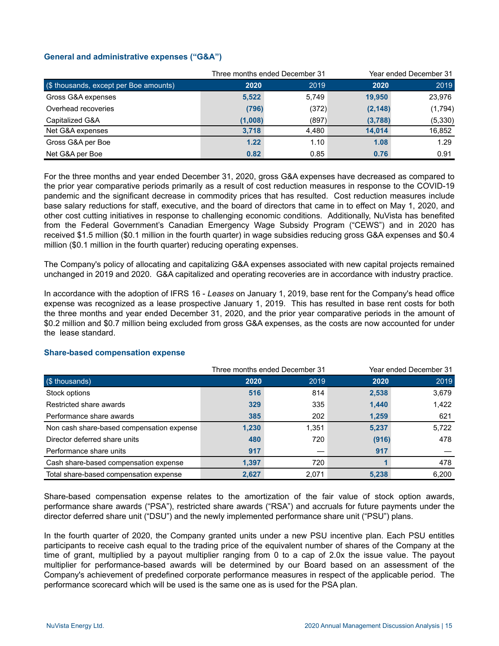# **General and administrative expenses ("G&A")**

|                                        |         | Three months ended December 31 |          | Year ended December 31 |
|----------------------------------------|---------|--------------------------------|----------|------------------------|
| (\$ thousands, except per Boe amounts) | 2020    | 2019                           | 2020     | 2019                   |
| Gross G&A expenses                     | 5,522   | 5,749                          | 19.950   | 23,976                 |
| Overhead recoveries                    | (796)   | (372)                          | (2, 148) | (1,794)                |
| Capitalized G&A                        | (1,008) | (897)                          | (3,788)  | (5, 330)               |
| Net G&A expenses                       | 3,718   | 4.480                          | 14.014   | 16,852                 |
| Gross G&A per Boe                      | 1.22    | 1.10                           | 1.08     | 1.29                   |
| Net G&A per Boe                        | 0.82    | 0.85                           | 0.76     | 0.91                   |

For the three months and year ended December 31, 2020, gross G&A expenses have decreased as compared to the prior year comparative periods primarily as a result of cost reduction measures in response to the COVID-19 pandemic and the significant decrease in commodity prices that has resulted. Cost reduction measures include base salary reductions for staff, executive, and the board of directors that came in to effect on May 1, 2020, and other cost cutting initiatives in response to challenging economic conditions. Additionally, NuVista has benefited from the Federal Government's Canadian Emergency Wage Subsidy Program ("CEWS") and in 2020 has received \$1.5 million (\$0.1 million in the fourth quarter) in wage subsidies reducing gross G&A expenses and \$0.4 million (\$0.1 million in the fourth quarter) reducing operating expenses.

The Company's policy of allocating and capitalizing G&A expenses associated with new capital projects remained unchanged in 2019 and 2020. G&A capitalized and operating recoveries are in accordance with industry practice.

In accordance with the adoption of IFRS 16 - *Leases* on January 1, 2019, base rent for the Company's head office expense was recognized as a lease prospective January 1, 2019. This has resulted in base rent costs for both the three months and year ended December 31, 2020, and the prior year comparative periods in the amount of \$0.2 million and \$0.7 million being excluded from gross G&A expenses, as the costs are now accounted for under the lease standard.

|                                           |       | Three months ended December 31 |       | Year ended December 31 |
|-------------------------------------------|-------|--------------------------------|-------|------------------------|
| (\$ thousands)                            | 2020  | 2019                           | 2020  | 2019                   |
| Stock options                             | 516   | 814                            | 2,538 | 3,679                  |
| Restricted share awards                   | 329   | 335                            | 1,440 | 1,422                  |
| Performance share awards                  | 385   | 202                            | 1,259 | 621                    |
| Non cash share-based compensation expense | 1,230 | 1.351                          | 5,237 | 5,722                  |
| Director deferred share units             | 480   | 720                            | (916) | 478                    |
| Performance share units                   | 917   |                                | 917   |                        |
| Cash share-based compensation expense     | 1.397 | 720                            |       | 478                    |
| Total share-based compensation expense    | 2.627 | 2.071                          | 5,238 | 6.200                  |

#### **Share-based compensation expense**

Share-based compensation expense relates to the amortization of the fair value of stock option awards, performance share awards ("PSA"), restricted share awards ("RSA") and accruals for future payments under the director deferred share unit ("DSU") and the newly implemented performance share unit ("PSU") plans.

In the fourth quarter of 2020, the Company granted units under a new PSU incentive plan. Each PSU entitles participants to receive cash equal to the trading price of the equivalent number of shares of the Company at the time of grant, multiplied by a payout multiplier ranging from 0 to a cap of 2.0x the issue value. The payout multiplier for performance-based awards will be determined by our Board based on an assessment of the Company's achievement of predefined corporate performance measures in respect of the applicable period. The performance scorecard which will be used is the same one as is used for the PSA plan.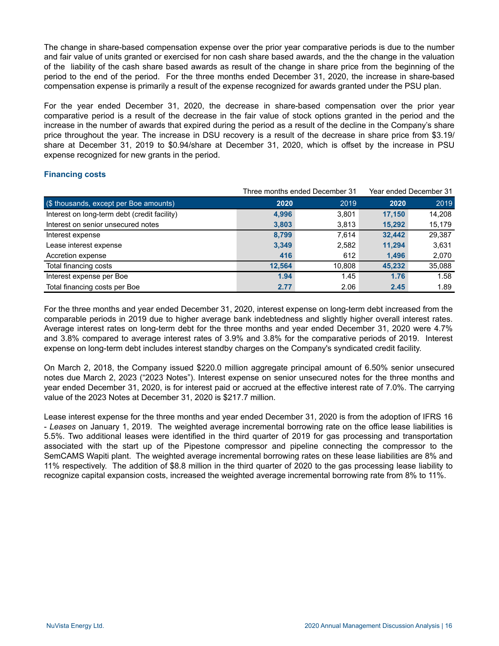The change in share-based compensation expense over the prior year comparative periods is due to the number and fair value of units granted or exercised for non cash share based awards, and the the change in the valuation of the liability of the cash share based awards as result of the change in share price from the beginning of the period to the end of the period. For the three months ended December 31, 2020, the increase in share-based compensation expense is primarily a result of the expense recognized for awards granted under the PSU plan.

For the year ended December 31, 2020, the decrease in share-based compensation over the prior year comparative period is a result of the decrease in the fair value of stock options granted in the period and the increase in the number of awards that expired during the period as a result of the decline in the Company's share price throughout the year. The increase in DSU recovery is a result of the decrease in share price from \$3.19/ share at December 31, 2019 to \$0.94/share at December 31, 2020, which is offset by the increase in PSU expense recognized for new grants in the period.

# **Financing costs**

|                                              |        | Three months ended December 31 | Year ended December 31 |        |  |
|----------------------------------------------|--------|--------------------------------|------------------------|--------|--|
| (\$ thousands, except per Boe amounts)       | 2020   | 2019                           | 2020                   | 2019   |  |
| Interest on long-term debt (credit facility) | 4,996  | 3,801                          | 17.150                 | 14,208 |  |
| Interest on senior unsecured notes           | 3,803  | 3,813                          | 15,292                 | 15,179 |  |
| Interest expense                             | 8,799  | 7.614                          | 32,442                 | 29,387 |  |
| Lease interest expense                       | 3,349  | 2,582                          | 11,294                 | 3,631  |  |
| Accretion expense                            | 416    | 612                            | 1,496                  | 2,070  |  |
| Total financing costs                        | 12.564 | 10.808                         | 45.232                 | 35,088 |  |
| Interest expense per Boe                     | 1.94   | 1.45                           | 1.76                   | 1.58   |  |
| Total financing costs per Boe                | 2.77   | 2.06                           | 2.45                   | 1.89   |  |

For the three months and year ended December 31, 2020, interest expense on long-term debt increased from the comparable periods in 2019 due to higher average bank indebtedness and slightly higher overall interest rates. Average interest rates on long-term debt for the three months and year ended December 31, 2020 were 4.7% and 3.8% compared to average interest rates of 3.9% and 3.8% for the comparative periods of 2019. Interest expense on long-term debt includes interest standby charges on the Company's syndicated credit facility.

On March 2, 2018, the Company issued \$220.0 million aggregate principal amount of 6.50% senior unsecured notes due March 2, 2023 ("2023 Notes"). Interest expense on senior unsecured notes for the three months and year ended December 31, 2020, is for interest paid or accrued at the effective interest rate of 7.0%. The carrying value of the 2023 Notes at December 31, 2020 is \$217.7 million.

Lease interest expense for the three months and year ended December 31, 2020 is from the adoption of IFRS 16 - *Leases* on January 1, 2019. The weighted average incremental borrowing rate on the office lease liabilities is 5.5%. Two additional leases were identified in the third quarter of 2019 for gas processing and transportation associated with the start up of the Pipestone compressor and pipeline connecting the compressor to the SemCAMS Wapiti plant. The weighted average incremental borrowing rates on these lease liabilities are 8% and 11% respectively. The addition of \$8.8 million in the third quarter of 2020 to the gas processing lease liability to recognize capital expansion costs, increased the weighted average incremental borrowing rate from 8% to 11%.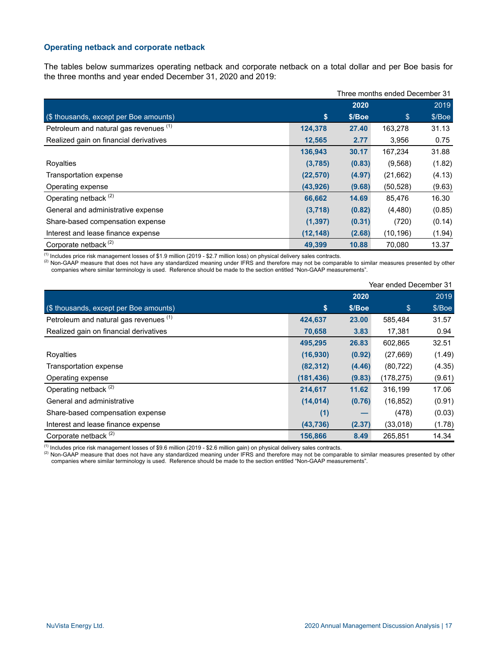#### **Operating netback and corporate netback**

The tables below summarizes operating netback and corporate netback on a total dollar and per Boe basis for the three months and year ended December 31, 2020 and 2019:

|                                        |           | Three months ended December 31 |                |        |  |  |
|----------------------------------------|-----------|--------------------------------|----------------|--------|--|--|
|                                        |           | 2020                           |                | 2019   |  |  |
| (\$ thousands, except per Boe amounts) | \$        | \$/Boe                         | $\mathfrak{s}$ | \$/Boe |  |  |
| Petroleum and natural gas revenues (1) | 124,378   | 27.40                          | 163,278        | 31.13  |  |  |
| Realized gain on financial derivatives | 12,565    | 2.77                           | 3,956          | 0.75   |  |  |
|                                        | 136,943   | 30.17                          | 167,234        | 31.88  |  |  |
| Royalties                              | (3,785)   | (0.83)                         | (9, 568)       | (1.82) |  |  |
| Transportation expense                 | (22, 570) | (4.97)                         | (21, 662)      | (4.13) |  |  |
| Operating expense                      | (43, 926) | (9.68)                         | (50, 528)      | (9.63) |  |  |
| Operating netback <sup>(2)</sup>       | 66,662    | 14.69                          | 85,476         | 16.30  |  |  |
| General and administrative expense     | (3,718)   | (0.82)                         | (4, 480)       | (0.85) |  |  |
| Share-based compensation expense       | (1, 397)  | (0.31)                         | (720)          | (0.14) |  |  |
| Interest and lease finance expense     | (12, 148) | (2.68)                         | (10, 196)      | (1.94) |  |  |
| Corporate netback <sup>(2)</sup>       | 49.399    | 10.88                          | 70,080         | 13.37  |  |  |

(1) Includes price risk management losses of \$1.9 million (2019 - \$2.7 million loss) on physical delivery sales contracts.

(2) Non-GAAP measure that does not have any standardized meaning under IFRS and therefore may not be comparable to similar measures presented by other companies where similar terminology is used. Reference should be made to the section entitled "Non-GAAP measurements".

|                                        |            | Year ended December 31 |            |        |  |
|----------------------------------------|------------|------------------------|------------|--------|--|
|                                        |            | 2020                   |            | 2019   |  |
| (\$ thousands, except per Boe amounts) | \$         | \$/Boe                 | \$         | \$/Boe |  |
| Petroleum and natural gas revenues (1) | 424,637    | 23.00                  | 585,484    | 31.57  |  |
| Realized gain on financial derivatives | 70,658     | 3.83                   | 17,381     | 0.94   |  |
|                                        | 495,295    | 26.83                  | 602,865    | 32.51  |  |
| Royalties                              | (16,930)   | (0.92)                 | (27, 669)  | (1.49) |  |
| Transportation expense                 | (82, 312)  | (4.46)                 | (80, 722)  | (4.35) |  |
| Operating expense                      | (181, 436) | (9.83)                 | (178, 275) | (9.61) |  |
| Operating netback <sup>(2)</sup>       | 214,617    | 11.62                  | 316,199    | 17.06  |  |
| General and administrative             | (14, 014)  | (0.76)                 | (16, 852)  | (0.91) |  |
| Share-based compensation expense       | (1)        |                        | (478)      | (0.03) |  |
| Interest and lease finance expense     | (43, 736)  | (2.37)                 | (33,018)   | (1.78) |  |
| Corporate netback <sup>(2)</sup>       | 156,866    | 8.49                   | 265,851    | 14.34  |  |

(1) Includes price risk management losses of \$9.6 million (2019 - \$2.6 million gain) on physical delivery sales contracts.

(2) Non-GAAP measure that does not have any standardized meaning under IFRS and therefore may not be comparable to similar measures presented by other companies where similar terminology is used. Reference should be made to the section entitled "Non-GAAP measurements".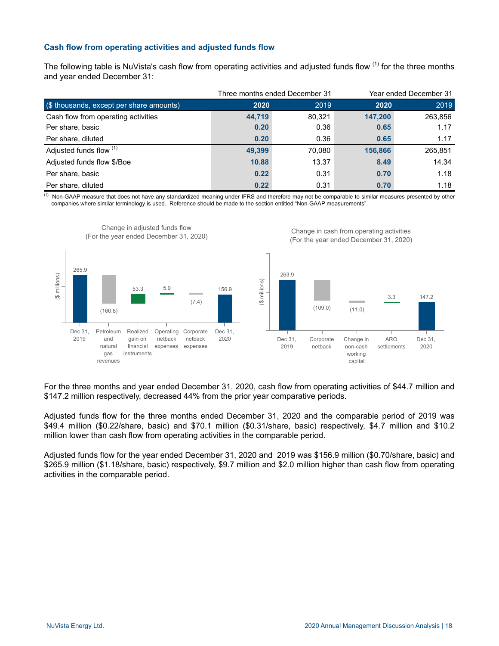# **Cash flow from operating activities and adjusted funds flow**

The following table is NuVista's cash flow from operating activities and adjusted funds flow <sup>(1)</sup> for the three months and year ended December 31:

|                                          |        | Three months ended December 31 |         | Year ended December 31 |
|------------------------------------------|--------|--------------------------------|---------|------------------------|
| (\$ thousands, except per share amounts) | 2020   | 2019                           | 2020    | 2019                   |
| Cash flow from operating activities      | 44.719 | 80,321                         | 147.200 | 263,856                |
| Per share, basic                         | 0.20   | 0.36                           | 0.65    | 1.17                   |
| Per share, diluted                       | 0.20   | 0.36                           | 0.65    | 1.17                   |
| Adjusted funds flow (1)                  | 49.399 | 70,080                         | 156,866 | 265,851                |
| Adjusted funds flow \$/Boe               | 10.88  | 13.37                          | 8.49    | 14.34                  |
| Per share, basic                         | 0.22   | 0.31                           | 0.70    | 1.18                   |
| Per share, diluted                       | 0.22   | 0.31                           | 0.70    | 1.18                   |

<sup>(1)</sup> Non-GAAP measure that does not have any standardized meaning under IFRS and therefore may not be comparable to similar measures presented by other companies where similar terminology is used. Reference should be made to the section entitled "Non-GAAP measurements".



For the three months and year ended December 31, 2020, cash flow from operating activities of \$44.7 million and \$147.2 million respectively, decreased 44% from the prior year comparative periods.

Adjusted funds flow for the three months ended December 31, 2020 and the comparable period of 2019 was \$49.4 million (\$0.22/share, basic) and \$70.1 million (\$0.31/share, basic) respectively, \$4.7 million and \$10.2 million lower than cash flow from operating activities in the comparable period.

Adjusted funds flow for the year ended December 31, 2020 and 2019 was \$156.9 million (\$0.70/share, basic) and \$265.9 million (\$1.18/share, basic) respectively, \$9.7 million and \$2.0 million higher than cash flow from operating activities in the comparable period.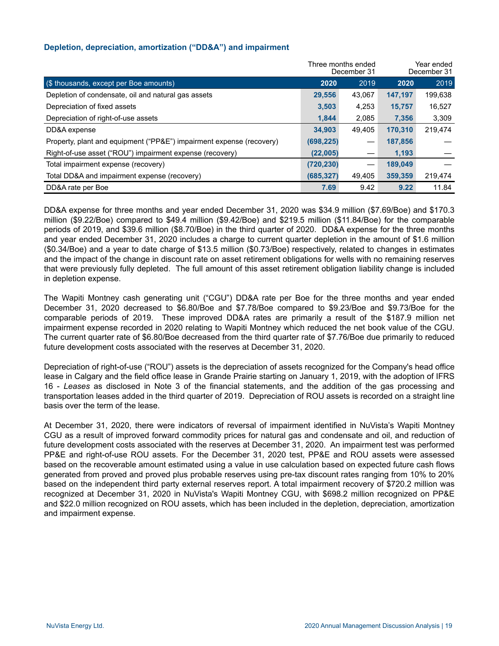## **Depletion, depreciation, amortization ("DD&A") and impairment**

|                                                                      | Three months ended | December 31 | Year ended<br>December 31 |         |  |
|----------------------------------------------------------------------|--------------------|-------------|---------------------------|---------|--|
| (\$ thousands, except per Boe amounts)                               | 2020               | 2019        | 2020                      | 2019    |  |
| Depletion of condensate, oil and natural gas assets                  | 29,556             | 43.067      | 147.197                   | 199,638 |  |
| Depreciation of fixed assets                                         | 3,503              | 4,253       | 15,757                    | 16,527  |  |
| Depreciation of right-of-use assets                                  | 1,844              | 2,085       | 7,356                     | 3,309   |  |
| DD&A expense                                                         | 34.903             | 49.405      | 170.310                   | 219.474 |  |
| Property, plant and equipment ("PP&E") impairment expense (recovery) | (698, 225)         |             | 187,856                   |         |  |
| Right-of-use asset ("ROU") impairment expense (recovery)             | (22,005)           |             | 1,193                     |         |  |
| Total impairment expense (recovery)                                  | (720, 230)         |             | 189,049                   |         |  |
| Total DD&A and impairment expense (recovery)                         | (685, 327)         | 49,405      | 359,359                   | 219,474 |  |
| DD&A rate per Boe                                                    | 7.69               | 9.42        | 9.22                      | 11.84   |  |

DD&A expense for three months and year ended December 31, 2020 was \$34.9 million (\$7.69/Boe) and \$170.3 million (\$9.22/Boe) compared to \$49.4 million (\$9.42/Boe) and \$219.5 million (\$11.84/Boe) for the comparable periods of 2019, and \$39.6 million (\$8.70/Boe) in the third quarter of 2020. DD&A expense for the three months and year ended December 31, 2020 includes a charge to current quarter depletion in the amount of \$1.6 million (\$0.34/Boe) and a year to date charge of \$13.5 million (\$0.73/Boe) respectively, related to changes in estimates and the impact of the change in discount rate on asset retirement obligations for wells with no remaining reserves that were previously fully depleted. The full amount of this asset retirement obligation liability change is included in depletion expense.

The Wapiti Montney cash generating unit ("CGU") DD&A rate per Boe for the three months and year ended December 31, 2020 decreased to \$6.80/Boe and \$7.78/Boe compared to \$9.23/Boe and \$9.73/Boe for the comparable periods of 2019. These improved DD&A rates are primarily a result of the \$187.9 million net impairment expense recorded in 2020 relating to Wapiti Montney which reduced the net book value of the CGU. The current quarter rate of \$6.80/Boe decreased from the third quarter rate of \$7.76/Boe due primarily to reduced future development costs associated with the reserves at December 31, 2020.

Depreciation of right-of-use ("ROU") assets is the depreciation of assets recognized for the Company's head office lease in Calgary and the field office lease in Grande Prairie starting on January 1, 2019, with the adoption of IFRS 16 - *Leases* as disclosed in Note 3 of the financial statements, and the addition of the gas processing and transportation leases added in the third quarter of 2019. Depreciation of ROU assets is recorded on a straight line basis over the term of the lease.

At December 31, 2020, there were indicators of reversal of impairment identified in NuVista's Wapiti Montney CGU as a result of improved forward commodity prices for natural gas and condensate and oil, and reduction of future development costs associated with the reserves at December 31, 2020. An impairment test was performed PP&E and right-of-use ROU assets. For the December 31, 2020 test, PP&E and ROU assets were assessed based on the recoverable amount estimated using a value in use calculation based on expected future cash flows generated from proved and proved plus probable reserves using pre-tax discount rates ranging from 10% to 20% based on the independent third party external reserves report. A total impairment recovery of \$720.2 million was recognized at December 31, 2020 in NuVista's Wapiti Montney CGU, with \$698.2 million recognized on PP&E and \$22.0 million recognized on ROU assets, which has been included in the depletion, depreciation, amortization and impairment expense.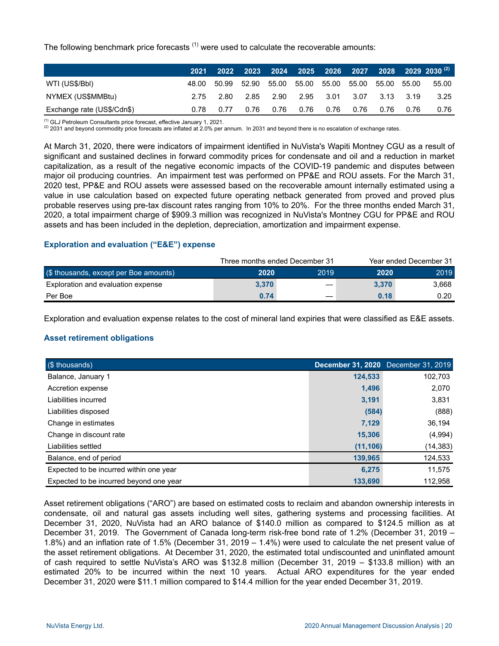The following benchmark price forecasts  $<sup>(1)</sup>$  were used to calculate the recoverable amounts:</sup>

|                            | 2021 |                                                       |      |  |                               |      |           |      | $2022$ 2023 2024 2025 2026 2027 2028 2029 2030 $^{\left( 2\right) }$ |
|----------------------------|------|-------------------------------------------------------|------|--|-------------------------------|------|-----------|------|----------------------------------------------------------------------|
| WTI (US\$/BbI)             |      | 48.00 50.99 52.90 55.00 55.00 55.00 55.00 55.00 55.00 |      |  |                               |      |           |      | 55.00                                                                |
| NYMEX (US\$MMBtu)          | 2.75 |                                                       |      |  | 2.80 2.85 2.90 2.95 3.01 3.07 |      | 3.13 3.19 |      | 3.25                                                                 |
| Exchange rate (US\$/Cdn\$) | 0.78 | 0.77                                                  | 0.76 |  | 0.76  0.76  0.76              | 0.76 | 0.76      | 0.76 | 0.76                                                                 |

(1) GLJ Petroleum Consultants price forecast, effective January 1, 2021.

 $(2)$  2031 and beyond commodity price forecasts are inflated at 2.0% per annum. In 2031 and beyond there is no escalation of exchange rates.

At March 31, 2020, there were indicators of impairment identified in NuVista's Wapiti Montney CGU as a result of significant and sustained declines in forward commodity prices for condensate and oil and a reduction in market capitalization, as a result of the negative economic impacts of the COVID-19 pandemic and disputes between major oil producing countries. An impairment test was performed on PP&E and ROU assets. For the March 31, 2020 test, PP&E and ROU assets were assessed based on the recoverable amount internally estimated using a value in use calculation based on expected future operating netback generated from proved and proved plus probable reserves using pre-tax discount rates ranging from 10% to 20%. For the three months ended March 31, 2020, a total impairment charge of \$909.3 million was recognized in NuVista's Montney CGU for PP&E and ROU assets and has been included in the depletion, depreciation, amortization and impairment expense.

#### **Exploration and evaluation ("E&E") expense**

|                                        |       | Three months ended December 31 | Year ended December 31 |       |  |
|----------------------------------------|-------|--------------------------------|------------------------|-------|--|
| (\$ thousands, except per Boe amounts) | 2020  | 2019                           | 2020                   | 2019  |  |
| Exploration and evaluation expense     | 3.370 |                                | 3.370                  | 3.668 |  |
| Per Boe                                | 0.74  |                                | 0.18                   | 0.20  |  |

Exploration and evaluation expense relates to the cost of mineral land expiries that were classified as E&E assets.

# **Asset retirement obligations**

| (\$ thousands)                          |           | December 31, 2020 December 31, 2019 |
|-----------------------------------------|-----------|-------------------------------------|
| Balance, January 1                      | 124,533   | 102,703                             |
| Accretion expense                       | 1,496     | 2,070                               |
| Liabilities incurred                    | 3,191     | 3,831                               |
| Liabilities disposed                    | (584)     | (888)                               |
| Change in estimates                     | 7.129     | 36.194                              |
| Change in discount rate                 | 15,306    | (4,994)                             |
| Liabilities settled                     | (11, 106) | (14, 383)                           |
| Balance, end of period                  | 139,965   | 124,533                             |
| Expected to be incurred within one year | 6.275     | 11,575                              |
| Expected to be incurred beyond one year | 133.690   | 112,958                             |

Asset retirement obligations ("ARO") are based on estimated costs to reclaim and abandon ownership interests in condensate, oil and natural gas assets including well sites, gathering systems and processing facilities. At December 31, 2020, NuVista had an ARO balance of \$140.0 million as compared to \$124.5 million as at December 31, 2019. The Government of Canada long-term risk-free bond rate of 1.2% (December 31, 2019 – 1.8%) and an inflation rate of 1.5% (December 31, 2019 – 1.4%) were used to calculate the net present value of the asset retirement obligations. At December 31, 2020, the estimated total undiscounted and uninflated amount of cash required to settle NuVista's ARO was \$132.8 million (December 31, 2019 – \$133.8 million) with an estimated 20% to be incurred within the next 10 years. Actual ARO expenditures for the year ended December 31, 2020 were \$11.1 million compared to \$14.4 million for the year ended December 31, 2019.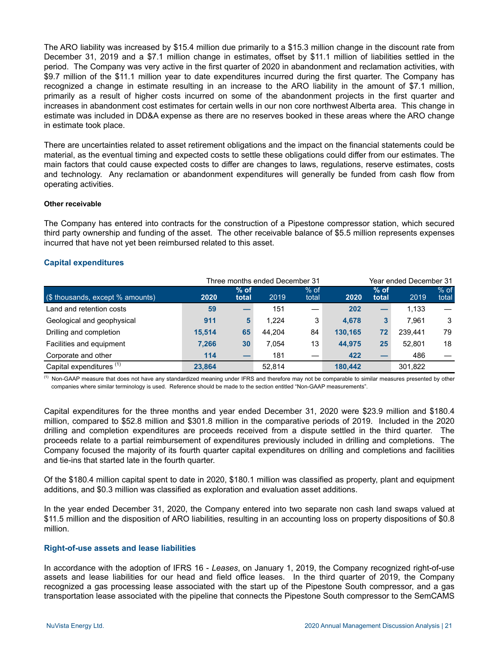The ARO liability was increased by \$15.4 million due primarily to a \$15.3 million change in the discount rate from December 31, 2019 and a \$7.1 million change in estimates, offset by \$11.1 million of liabilities settled in the period. The Company was very active in the first quarter of 2020 in abandonment and reclamation activities, with \$9.7 million of the \$11.1 million year to date expenditures incurred during the first quarter. The Company has recognized a change in estimate resulting in an increase to the ARO liability in the amount of \$7.1 million, primarily as a result of higher costs incurred on some of the abandonment projects in the first quarter and increases in abandonment cost estimates for certain wells in our non core northwest Alberta area. This change in estimate was included in DD&A expense as there are no reserves booked in these areas where the ARO change in estimate took place.

There are uncertainties related to asset retirement obligations and the impact on the financial statements could be material, as the eventual timing and expected costs to settle these obligations could differ from our estimates. The main factors that could cause expected costs to differ are changes to laws, regulations, reserve estimates, costs and technology. Any reclamation or abandonment expenditures will generally be funded from cash flow from operating activities.

#### **Other receivable**

The Company has entered into contracts for the construction of a Pipestone compressor station, which secured third party ownership and funding of the asset. The other receivable balance of \$5.5 million represents expenses incurred that have not yet been reimbursed related to this asset.

#### **Capital expenditures**

|                                     | Three months ended December 31 |                 |        |                 |         | Year ended December 31 |         |                 |
|-------------------------------------|--------------------------------|-----------------|--------|-----------------|---------|------------------------|---------|-----------------|
| (\$ thousands, except % amounts)    | 2020                           | $%$ of<br>total | 2019   | $%$ of<br>total | 2020    | $%$ of<br>total        | 2019    | $%$ of<br>total |
| Land and retention costs            | 59                             |                 | 151    |                 | 202     |                        | 1,133   |                 |
| Geological and geophysical          | 911                            | 5               | 1.224  | 3               | 4.678   | 3                      | 7.961   | 3               |
| Drilling and completion             | 15,514                         | 65              | 44.204 | 84              | 130.165 | 72                     | 239.441 | 79              |
| Facilities and equipment            | 7,266                          | 30              | 7.054  | 13              | 44.975  | 25                     | 52.801  | 18              |
| Corporate and other                 | 114                            |                 | 181    |                 | 422     |                        | 486     |                 |
| Capital expenditures <sup>(1)</sup> | 23.864                         |                 | 52.814 |                 | 180.442 |                        | 301.822 |                 |

(1) Non-GAAP measure that does not have any standardized meaning under IFRS and therefore may not be comparable to similar measures presented by other companies where similar terminology is used. Reference should be made to the section entitled "Non-GAAP measurements".

Capital expenditures for the three months and year ended December 31, 2020 were \$23.9 million and \$180.4 million, compared to \$52.8 million and \$301.8 million in the comparative periods of 2019. Included in the 2020 drilling and completion expenditures are proceeds received from a dispute settled in the third quarter. The proceeds relate to a partial reimbursement of expenditures previously included in drilling and completions. The Company focused the majority of its fourth quarter capital expenditures on drilling and completions and facilities and tie-ins that started late in the fourth quarter.

Of the \$180.4 million capital spent to date in 2020, \$180.1 million was classified as property, plant and equipment additions, and \$0.3 million was classified as exploration and evaluation asset additions.

In the year ended December 31, 2020, the Company entered into two separate non cash land swaps valued at \$11.5 million and the disposition of ARO liabilities, resulting in an accounting loss on property dispositions of \$0.8 million.

#### **Right-of-use assets and lease liabilities**

In accordance with the adoption of IFRS 16 - *Leases*, on January 1, 2019, the Company recognized right-of-use assets and lease liabilities for our head and field office leases. In the third quarter of 2019, the Company recognized a gas processing lease associated with the start up of the Pipestone South compressor, and a gas transportation lease associated with the pipeline that connects the Pipestone South compressor to the SemCAMS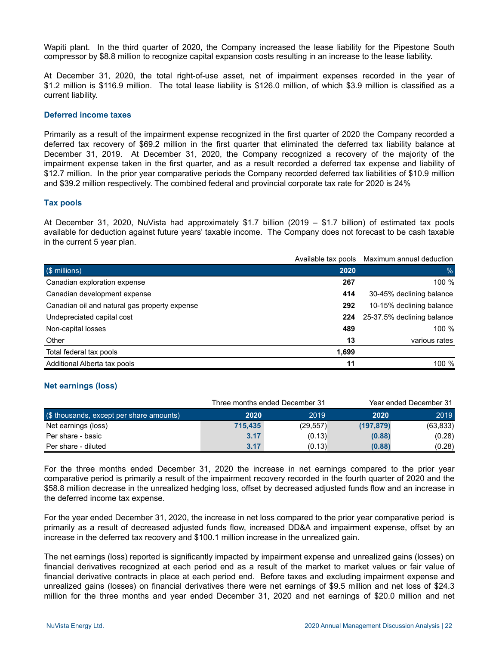Wapiti plant. In the third quarter of 2020, the Company increased the lease liability for the Pipestone South compressor by \$8.8 million to recognize capital expansion costs resulting in an increase to the lease liability.

At December 31, 2020, the total right-of-use asset, net of impairment expenses recorded in the year of \$1.2 million is \$116.9 million. The total lease liability is \$126.0 million, of which \$3.9 million is classified as a current liability.

#### **Deferred income taxes**

Primarily as a result of the impairment expense recognized in the first quarter of 2020 the Company recorded a deferred tax recovery of \$69.2 million in the first quarter that eliminated the deferred tax liability balance at December 31, 2019. At December 31, 2020, the Company recognized a recovery of the majority of the impairment expense taken in the first quarter, and as a result recorded a deferred tax expense and liability of \$12.7 million. In the prior year comparative periods the Company recorded deferred tax liabilities of \$10.9 million and \$39.2 million respectively. The combined federal and provincial corporate tax rate for 2020 is 24%

#### **Tax pools**

At December 31, 2020, NuVista had approximately \$1.7 billion (2019 – \$1.7 billion) of estimated tax pools available for deduction against future years' taxable income. The Company does not forecast to be cash taxable in the current 5 year plan.

|                                               | Available tax pools | Maximum annual deduction   |
|-----------------------------------------------|---------------------|----------------------------|
| (\$ millions)                                 | 2020                | $\%$                       |
| Canadian exploration expense                  | 267                 | 100 %                      |
| Canadian development expense                  | 414                 | 30-45% declining balance   |
| Canadian oil and natural gas property expense | 292                 | 10-15% declining balance   |
| Undepreciated capital cost                    | 224                 | 25-37.5% declining balance |
| Non-capital losses                            | 489                 | 100 %                      |
| Other                                         | 13                  | various rates              |
| Total federal tax pools                       | 1,699               |                            |
| Additional Alberta tax pools                  | 11                  | 100 %                      |

#### **Net earnings (loss)**

|                                          |         | Three months ended December 31 |            | Year ended December 31 |
|------------------------------------------|---------|--------------------------------|------------|------------------------|
| (\$ thousands, except per share amounts) | 2020    | 2019                           | 2020       | 2019                   |
| Net earnings (loss)                      | 715.435 | (29, 557)                      | (197, 879) | (63, 833)              |
| Per share - basic                        | 3.17    | (0.13)                         | (0.88)     | (0.28)                 |
| Per share - diluted                      | 3.17    | (0.13)                         | (0.88)     | (0.28)                 |

For the three months ended December 31, 2020 the increase in net earnings compared to the prior year comparative period is primarily a result of the impairment recovery recorded in the fourth quarter of 2020 and the \$58.8 million decrease in the unrealized hedging loss, offset by decreased adjusted funds flow and an increase in the deferred income tax expense.

For the year ended December 31, 2020, the increase in net loss compared to the prior year comparative period is primarily as a result of decreased adjusted funds flow, increased DD&A and impairment expense, offset by an increase in the deferred tax recovery and \$100.1 million increase in the unrealized gain.

The net earnings (loss) reported is significantly impacted by impairment expense and unrealized gains (losses) on financial derivatives recognized at each period end as a result of the market to market values or fair value of financial derivative contracts in place at each period end. Before taxes and excluding impairment expense and unrealized gains (losses) on financial derivatives there were net earnings of \$9.5 million and net loss of \$24.3 million for the three months and year ended December 31, 2020 and net earnings of \$20.0 million and net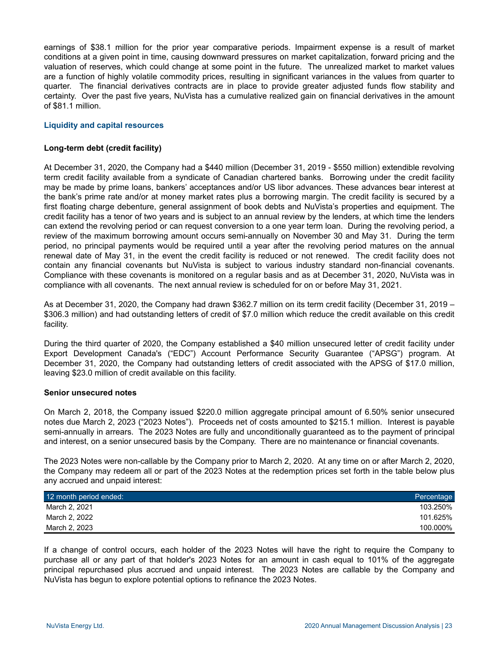earnings of \$38.1 million for the prior year comparative periods. Impairment expense is a result of market conditions at a given point in time, causing downward pressures on market capitalization, forward pricing and the valuation of reserves, which could change at some point in the future. The unrealized market to market values are a function of highly volatile commodity prices, resulting in significant variances in the values from quarter to quarter. The financial derivatives contracts are in place to provide greater adjusted funds flow stability and certainty. Over the past five years, NuVista has a cumulative realized gain on financial derivatives in the amount of \$81.1 million.

## **Liquidity and capital resources**

#### **Long-term debt (credit facility)**

At December 31, 2020, the Company had a \$440 million (December 31, 2019 - \$550 million) extendible revolving term credit facility available from a syndicate of Canadian chartered banks. Borrowing under the credit facility may be made by prime loans, bankers' acceptances and/or US libor advances. These advances bear interest at the bank's prime rate and/or at money market rates plus a borrowing margin. The credit facility is secured by a first floating charge debenture, general assignment of book debts and NuVista's properties and equipment. The credit facility has a tenor of two years and is subject to an annual review by the lenders, at which time the lenders can extend the revolving period or can request conversion to a one year term loan. During the revolving period, a review of the maximum borrowing amount occurs semi-annually on November 30 and May 31. During the term period, no principal payments would be required until a year after the revolving period matures on the annual renewal date of May 31, in the event the credit facility is reduced or not renewed. The credit facility does not contain any financial covenants but NuVista is subject to various industry standard non-financial covenants. Compliance with these covenants is monitored on a regular basis and as at December 31, 2020, NuVista was in compliance with all covenants. The next annual review is scheduled for on or before May 31, 2021.

As at December 31, 2020, the Company had drawn \$362.7 million on its term credit facility (December 31, 2019 – \$306.3 million) and had outstanding letters of credit of \$7.0 million which reduce the credit available on this credit facility.

During the third quarter of 2020, the Company established a \$40 million unsecured letter of credit facility under Export Development Canada's ("EDC") Account Performance Security Guarantee ("APSG") program. At December 31, 2020, the Company had outstanding letters of credit associated with the APSG of \$17.0 million, leaving \$23.0 million of credit available on this facility.

#### **Senior unsecured notes**

On March 2, 2018, the Company issued \$220.0 million aggregate principal amount of 6.50% senior unsecured notes due March 2, 2023 ("2023 Notes"). Proceeds net of costs amounted to \$215.1 million. Interest is payable semi-annually in arrears. The 2023 Notes are fully and unconditionally guaranteed as to the payment of principal and interest, on a senior unsecured basis by the Company. There are no maintenance or financial covenants.

The 2023 Notes were non-callable by the Company prior to March 2, 2020. At any time on or after March 2, 2020, the Company may redeem all or part of the 2023 Notes at the redemption prices set forth in the table below plus any accrued and unpaid interest:

| 12 month period ended: | Percentage |
|------------------------|------------|
| March 2, 2021          | 103.250%   |
| March 2, 2022          | 101.625%   |
| March 2, 2023          | 100.000%   |

If a change of control occurs, each holder of the 2023 Notes will have the right to require the Company to purchase all or any part of that holder's 2023 Notes for an amount in cash equal to 101% of the aggregate principal repurchased plus accrued and unpaid interest. The 2023 Notes are callable by the Company and NuVista has begun to explore potential options to refinance the 2023 Notes.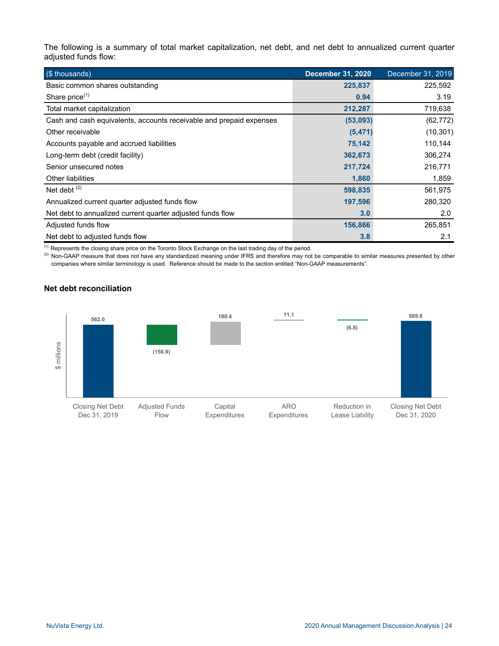The following is a summary of total market capitalization, net debt, and net debt to annualized current quarter adjusted funds flow:

| (\$ thousands)                                                      | <b>December 31, 2020</b> | December 31, 2019 |
|---------------------------------------------------------------------|--------------------------|-------------------|
| Basic common shares outstanding                                     | 225,837                  | 225,592           |
| Share price $(1)$                                                   | 0.94                     | 3.19              |
| Total market capitalization                                         | 212,287                  | 719,638           |
| Cash and cash equivalents, accounts receivable and prepaid expenses | (53,093)                 | (62, 772)         |
| Other receivable                                                    | (5, 471)                 | (10, 301)         |
| Accounts payable and accrued liabilities                            | 75,142                   | 110,144           |
| Long-term debt (credit facility)                                    | 362,673                  | 306,274           |
| Senior unsecured notes                                              | 217,724                  | 216,771           |
| Other liabilities                                                   | 1,860                    | 1,859             |
| Net debt $(2)$                                                      | 598,835                  | 561,975           |
| Annualized current quarter adjusted funds flow                      | 197,596                  | 280,320           |
| Net debt to annualized current quarter adjusted funds flow          | 3.0                      | 2.0               |
| Adjusted funds flow                                                 | 156,866                  | 265,851           |
| Net debt to adjusted funds flow                                     | 3.8                      | 2.1               |

(1) Represents the closing share price on the Toronto Stock Exchange on the last trading day of the period.

(2) Non-GAAP measure that does not have any standardized meaning under IFRS and therefore may not be comparable to similar measures presented by other companies where similar terminology is used. Reference should be made to the section entitled "Non-GAAP measurements".

# **Net debt reconciliation**

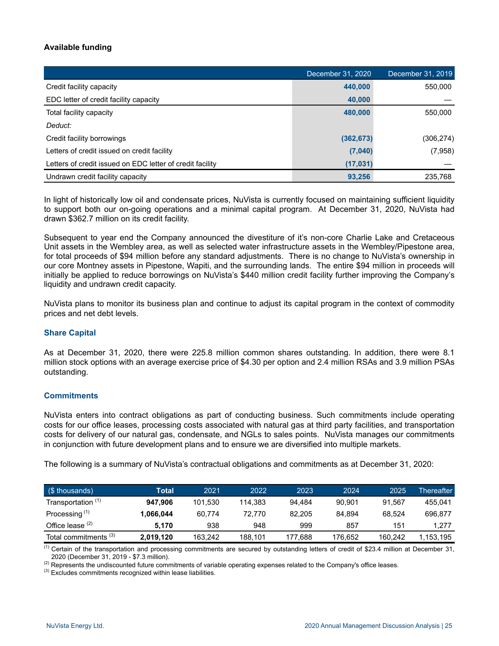# **Available funding**

|                                                           | December 31, 2020 | December 31, 2019 |
|-----------------------------------------------------------|-------------------|-------------------|
| Credit facility capacity                                  | 440,000           | 550,000           |
| EDC letter of credit facility capacity                    | 40,000            |                   |
| Total facility capacity                                   | 480.000           | 550,000           |
| Deduct:                                                   |                   |                   |
| Credit facility borrowings                                | (362, 673)        | (306, 274)        |
| Letters of credit issued on credit facility               | (7,040)           | (7,958)           |
| Letters of credit issued on EDC letter of credit facility | (17, 031)         |                   |
| Undrawn credit facility capacity                          | 93,256            | 235,768           |

In light of historically low oil and condensate prices, NuVista is currently focused on maintaining sufficient liquidity to support both our on-going operations and a minimal capital program. At December 31, 2020, NuVista had drawn \$362.7 million on its credit facility.

Subsequent to year end the Company announced the divestiture of it's non-core Charlie Lake and Cretaceous Unit assets in the Wembley area, as well as selected water infrastructure assets in the Wembley/Pipestone area, for total proceeds of \$94 million before any standard adjustments. There is no change to NuVista's ownership in our core Montney assets in Pipestone, Wapiti, and the surrounding lands. The entire \$94 million in proceeds will initially be applied to reduce borrowings on NuVista's \$440 million credit facility further improving the Company's liquidity and undrawn credit capacity.

NuVista plans to monitor its business plan and continue to adjust its capital program in the context of commodity prices and net debt levels.

# **Share Capital**

As at December 31, 2020, there were 225.8 million common shares outstanding. In addition, there were 8.1 million stock options with an average exercise price of \$4.30 per option and 2.4 million RSAs and 3.9 million PSAs outstanding.

#### **Commitments**

NuVista enters into contract obligations as part of conducting business. Such commitments include operating costs for our office leases, processing costs associated with natural gas at third party facilities, and transportation costs for delivery of our natural gas, condensate, and NGLs to sales points. NuVista manages our commitments in conjunction with future development plans and to ensure we are diversified into multiple markets.

The following is a summary of NuVista's contractual obligations and commitments as at December 31, 2020:

| $($ \$ thousands)                | Total     | 2021    | 2022    | 2023    | 2024    | 2025    | Thereafter |
|----------------------------------|-----------|---------|---------|---------|---------|---------|------------|
| Transportation <sup>(1)</sup>    | 947.906   | 101.530 | 114.383 | 94.484  | 90.901  | 91.567  | 455.041    |
| Processing <sup>(1)</sup>        | 1.066.044 | 60.774  | 72.770  | 82.205  | 84.894  | 68.524  | 696.877    |
| Office lease $(2)$               | 5.170     | 938     | 948     | 999     | 857     | 151     | 1.277      |
| Total commitments <sup>(3)</sup> | 2,019,120 | 163.242 | 188.101 | 177.688 | 176.652 | 160.242 | 1,153,195  |

(1) Certain of the transportation and processing commitments are secured by outstanding letters of credit of \$23.4 million at December 31, 2020 (December 31, 2019 - \$7.3 million).

<sup>(2)</sup> Represents the undiscounted future commitments of variable operating expenses related to the Company's office leases.

 $<sup>(3)</sup>$  Excludes commitments recognized within lease liabilities.</sup>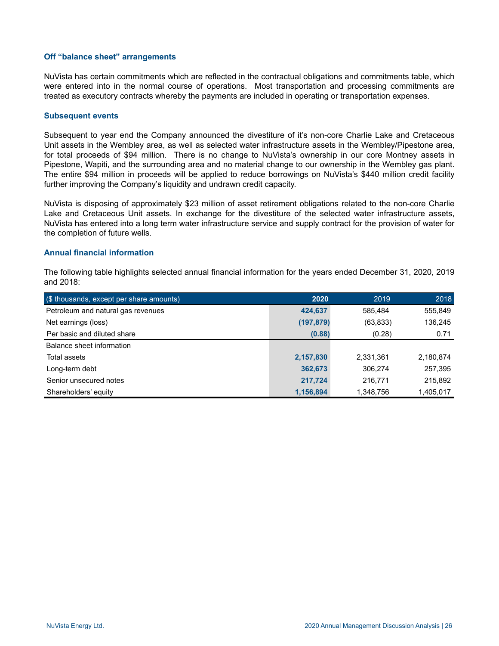#### **Off "balance sheet" arrangements**

NuVista has certain commitments which are reflected in the contractual obligations and commitments table, which were entered into in the normal course of operations. Most transportation and processing commitments are treated as executory contracts whereby the payments are included in operating or transportation expenses.

#### **Subsequent events**

Subsequent to year end the Company announced the divestiture of it's non-core Charlie Lake and Cretaceous Unit assets in the Wembley area, as well as selected water infrastructure assets in the Wembley/Pipestone area, for total proceeds of \$94 million. There is no change to NuVista's ownership in our core Montney assets in Pipestone, Wapiti, and the surrounding area and no material change to our ownership in the Wembley gas plant. The entire \$94 million in proceeds will be applied to reduce borrowings on NuVista's \$440 million credit facility further improving the Company's liquidity and undrawn credit capacity.

NuVista is disposing of approximately \$23 million of asset retirement obligations related to the non-core Charlie Lake and Cretaceous Unit assets. In exchange for the divestiture of the selected water infrastructure assets, NuVista has entered into a long term water infrastructure service and supply contract for the provision of water for the completion of future wells.

#### **Annual financial information**

The following table highlights selected annual financial information for the years ended December 31, 2020, 2019 and 2018:

| (\$ thousands, except per share amounts) | 2020       | 2019      | 2018      |
|------------------------------------------|------------|-----------|-----------|
| Petroleum and natural gas revenues       | 424,637    | 585,484   | 555,849   |
| Net earnings (loss)                      | (197, 879) | (63,833)  | 136,245   |
| Per basic and diluted share              | (0.88)     | (0.28)    | 0.71      |
| Balance sheet information                |            |           |           |
| Total assets                             | 2,157,830  | 2,331,361 | 2,180,874 |
| Long-term debt                           | 362,673    | 306,274   | 257,395   |
| Senior unsecured notes                   | 217,724    | 216,771   | 215,892   |
| Shareholders' equity                     | 1,156,894  | 1,348,756 | 1,405,017 |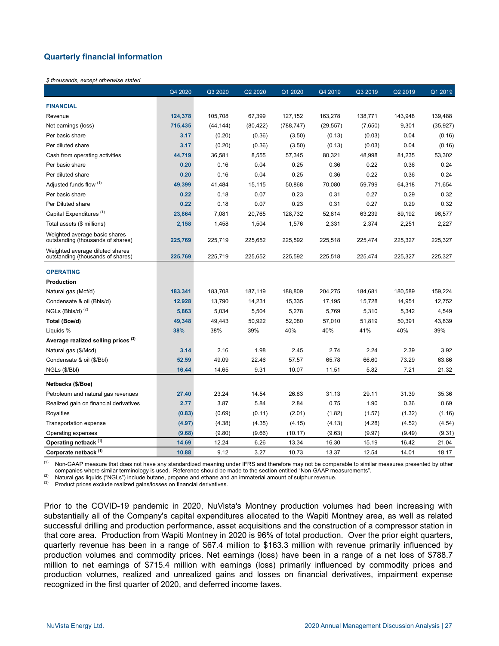# **Quarterly financial information**

#### *\$ thousands, except otherwise stated*

|                                                                      | Q4 2020 | Q3 2020   | Q2 2020   | Q1 2020    | Q4 2019   | Q3 2019 | Q2 2019 | Q1 2019   |
|----------------------------------------------------------------------|---------|-----------|-----------|------------|-----------|---------|---------|-----------|
| <b>FINANCIAL</b>                                                     |         |           |           |            |           |         |         |           |
| Revenue                                                              | 124,378 | 105,708   | 67,399    | 127,152    | 163,278   | 138,771 | 143,948 | 139,488   |
| Net earnings (loss)                                                  | 715,435 | (44, 144) | (80, 422) | (788, 747) | (29, 557) | (7,650) | 9,301   | (35, 927) |
| Per basic share                                                      | 3.17    | (0.20)    | (0.36)    | (3.50)     | (0.13)    | (0.03)  | 0.04    | (0.16)    |
| Per diluted share                                                    | 3.17    | (0.20)    | (0.36)    | (3.50)     | (0.13)    | (0.03)  | 0.04    | (0.16)    |
| Cash from operating activities                                       | 44,719  | 36,581    | 8,555     | 57,345     | 80,321    | 48,998  | 81,235  | 53,302    |
| Per basic share                                                      | 0.20    | 0.16      | 0.04      | 0.25       | 0.36      | 0.22    | 0.36    | 0.24      |
| Per diluted share                                                    | 0.20    | 0.16      | 0.04      | 0.25       | 0.36      | 0.22    | 0.36    | 0.24      |
| Adjusted funds flow (1)                                              | 49,399  | 41,484    | 15,115    | 50,868     | 70,080    | 59,799  | 64,318  | 71,654    |
| Per basic share                                                      | 0.22    | 0.18      | 0.07      | 0.23       | 0.31      | 0.27    | 0.29    | 0.32      |
| Per Diluted share                                                    | 0.22    | 0.18      | 0.07      | 0.23       | 0.31      | 0.27    | 0.29    | 0.32      |
| Capital Expenditures <sup>(1)</sup>                                  | 23,864  | 7,081     | 20,765    | 128,732    | 52,814    | 63,239  | 89,192  | 96,577    |
| Total assets (\$ millions)                                           | 2,158   | 1,458     | 1,504     | 1,576      | 2,331     | 2,374   | 2,251   | 2,227     |
| Weighted average basic shares<br>outstanding (thousands of shares)   | 225,769 | 225,719   | 225,652   | 225,592    | 225,518   | 225,474 | 225,327 | 225,327   |
| Weighted average diluted shares<br>outstanding (thousands of shares) | 225,769 | 225,719   | 225,652   | 225,592    | 225,518   | 225,474 | 225,327 | 225,327   |
| <b>OPERATING</b>                                                     |         |           |           |            |           |         |         |           |
| <b>Production</b>                                                    |         |           |           |            |           |         |         |           |
| Natural gas (Mcf/d)                                                  | 183,341 | 183,708   | 187,119   | 188,809    | 204,275   | 184,681 | 180,589 | 159,224   |
| Condensate & oil (Bbls/d)                                            | 12,928  | 13,790    | 14,231    | 15,335     | 17,195    | 15,728  | 14,951  | 12,752    |
| $NGLs$ (Bbls/d) $(2)$                                                | 5,863   | 5,034     | 5,504     | 5,278      | 5,769     | 5,310   | 5,342   | 4,549     |
| Total (Boe/d)                                                        | 49,348  | 49,443    | 50,922    | 52,080     | 57,010    | 51,819  | 50,391  | 43,839    |
| Liquids %                                                            | 38%     | 38%       | 39%       | 40%        | 40%       | 41%     | 40%     | 39%       |
| Average realized selling prices <sup>(3)</sup>                       |         |           |           |            |           |         |         |           |
| Natural gas (\$/Mcd)                                                 | 3.14    | 2.16      | 1.98      | 2.45       | 2.74      | 2.24    | 2.39    | 3.92      |
| Condensate & oil (\$/Bbl)                                            | 52.59   | 49.09     | 22.46     | 57.57      | 65.78     | 66.60   | 73.29   | 63.86     |
| NGLs (\$/Bbl)                                                        | 16.44   | 14.65     | 9.31      | 10.07      | 11.51     | 5.82    | 7.21    | 21.32     |
| Netbacks (\$/Boe)                                                    |         |           |           |            |           |         |         |           |
| Petroleum and natural gas revenues                                   | 27.40   | 23.24     | 14.54     | 26.83      | 31.13     | 29.11   | 31.39   | 35.36     |
| Realized gain on financial derivatives                               | 2.77    | 3.87      | 5.84      | 2.84       | 0.75      | 1.90    | 0.36    | 0.69      |
| Royalties                                                            | (0.83)  | (0.69)    | (0.11)    | (2.01)     | (1.82)    | (1.57)  | (1.32)  | (1.16)    |
| Transportation expense                                               | (4.97)  | (4.38)    | (4.35)    | (4.15)     | (4.13)    | (4.28)  | (4.52)  | (4.54)    |
| Operating expenses                                                   | (9.68)  | (9.80)    | (9.66)    | (10.17)    | (9.63)    | (9.97)  | (9.49)  | (9.31)    |
| Operating netback (1)                                                | 14.69   | 12.24     | 6.26      | 13.34      | 16.30     | 15.19   | 16.42   | 21.04     |
| Corporate netback <sup>(1)</sup>                                     | 10.88   | 9.12      | 3.27      | 10.73      | 13.37     | 12.54   | 14.01   | 18.17     |

Non-GAAP measure that does not have any standardized meaning under IFRS and therefore may not be comparable to similar measures presented by other companies where similar terminology is used. Reference should be made to the section entitled "Non-GAAP measurements".

Natural gas liquids ("NGLs") include butane, propane and ethane and an immaterial amount of sulphur revenue.

(3) Product prices exclude realized gains/losses on financial derivatives.

Prior to the COVID-19 pandemic in 2020, NuVista's Montney production volumes had been increasing with substantially all of the Company's capital expenditures allocated to the Wapiti Montney area, as well as related successful drilling and production performance, asset acquisitions and the construction of a compressor station in that core area. Production from Wapiti Montney in 2020 is 96% of total production. Over the prior eight quarters, quarterly revenue has been in a range of \$67.4 million to \$163.3 million with revenue primarily influenced by production volumes and commodity prices. Net earnings (loss) have been in a range of a net loss of \$788.7 million to net earnings of \$715.4 million with earnings (loss) primarily influenced by commodity prices and production volumes, realized and unrealized gains and losses on financial derivatives, impairment expense recognized in the first quarter of 2020, and deferred income taxes.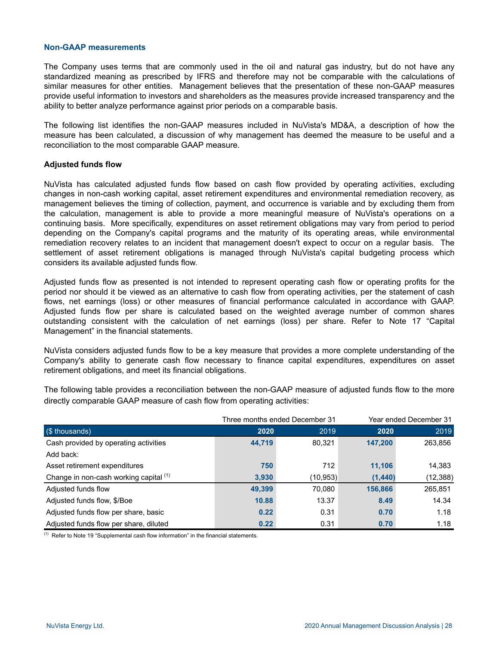#### **Non-GAAP measurements**

The Company uses terms that are commonly used in the oil and natural gas industry, but do not have any standardized meaning as prescribed by IFRS and therefore may not be comparable with the calculations of similar measures for other entities. Management believes that the presentation of these non-GAAP measures provide useful information to investors and shareholders as the measures provide increased transparency and the ability to better analyze performance against prior periods on a comparable basis.

The following list identifies the non-GAAP measures included in NuVista's MD&A, a description of how the measure has been calculated, a discussion of why management has deemed the measure to be useful and a reconciliation to the most comparable GAAP measure.

#### **Adjusted funds flow**

NuVista has calculated adjusted funds flow based on cash flow provided by operating activities, excluding changes in non-cash working capital, asset retirement expenditures and environmental remediation recovery, as management believes the timing of collection, payment, and occurrence is variable and by excluding them from the calculation, management is able to provide a more meaningful measure of NuVista's operations on a continuing basis. More specifically, expenditures on asset retirement obligations may vary from period to period depending on the Company's capital programs and the maturity of its operating areas, while environmental remediation recovery relates to an incident that management doesn't expect to occur on a regular basis. The settlement of asset retirement obligations is managed through NuVista's capital budgeting process which considers its available adjusted funds flow.

Adjusted funds flow as presented is not intended to represent operating cash flow or operating profits for the period nor should it be viewed as an alternative to cash flow from operating activities, per the statement of cash flows, net earnings (loss) or other measures of financial performance calculated in accordance with GAAP. Adjusted funds flow per share is calculated based on the weighted average number of common shares outstanding consistent with the calculation of net earnings (loss) per share. Refer to Note 17 "Capital Management" in the financial statements.

NuVista considers adjusted funds flow to be a key measure that provides a more complete understanding of the Company's ability to generate cash flow necessary to finance capital expenditures, expenditures on asset retirement obligations, and meet its financial obligations.

The following table provides a reconciliation between the non-GAAP measure of adjusted funds flow to the more directly comparable GAAP measure of cash flow from operating activities:

|                                        |        | Three months ended December 31 | Year ended December 31 |           |  |
|----------------------------------------|--------|--------------------------------|------------------------|-----------|--|
| (\$ thousands)                         | 2020   | 2019                           | 2020                   | 2019      |  |
| Cash provided by operating activities  | 44,719 | 80,321                         | 147,200                | 263,856   |  |
| Add back:                              |        |                                |                        |           |  |
| Asset retirement expenditures          | 750    | 712                            | 11,106                 | 14,383    |  |
| Change in non-cash working capital (1) | 3,930  | (10,953)                       | (1, 440)               | (12, 388) |  |
| Adjusted funds flow                    | 49,399 | 70.080                         | 156,866                | 265,851   |  |
| Adjusted funds flow, \$/Boe            | 10.88  | 13.37                          | 8.49                   | 14.34     |  |
| Adjusted funds flow per share, basic   | 0.22   | 0.31                           | 0.70                   | 1.18      |  |
| Adjusted funds flow per share, diluted | 0.22   | 0.31                           | 0.70                   | 1.18      |  |

 $<sup>(1)</sup>$  Refer to Note 19 "Supplemental cash flow information" in the financial statements.</sup>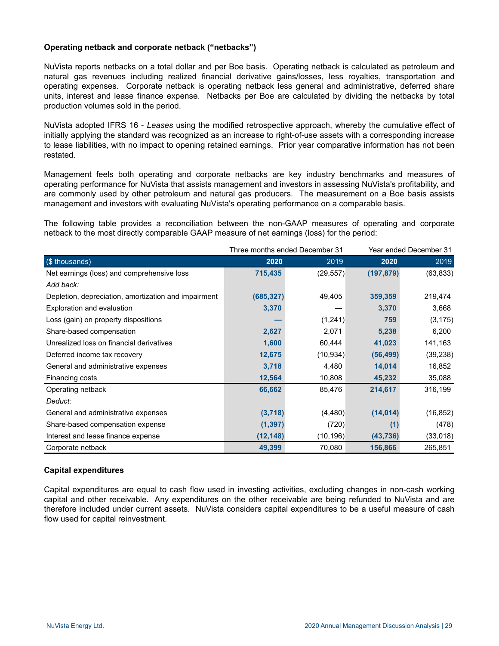# **Operating netback and corporate netback ("netbacks")**

NuVista reports netbacks on a total dollar and per Boe basis. Operating netback is calculated as petroleum and natural gas revenues including realized financial derivative gains/losses, less royalties, transportation and operating expenses. Corporate netback is operating netback less general and administrative, deferred share units, interest and lease finance expense. Netbacks per Boe are calculated by dividing the netbacks by total production volumes sold in the period.

NuVista adopted IFRS 16 - *Leases* using the modified retrospective approach, whereby the cumulative effect of initially applying the standard was recognized as an increase to right-of-use assets with a corresponding increase to lease liabilities, with no impact to opening retained earnings. Prior year comparative information has not been restated.

Management feels both operating and corporate netbacks are key industry benchmarks and measures of operating performance for NuVista that assists management and investors in assessing NuVista's profitability, and are commonly used by other petroleum and natural gas producers. The measurement on a Boe basis assists management and investors with evaluating NuVista's operating performance on a comparable basis.

The following table provides a reconciliation between the non-GAAP measures of operating and corporate netback to the most directly comparable GAAP measure of net earnings (loss) for the period:

|                                                      |            | Three months ended December 31 | Year ended December 31 |           |  |
|------------------------------------------------------|------------|--------------------------------|------------------------|-----------|--|
| (\$ thousands)                                       | 2020       | 2019                           | 2020                   | 2019      |  |
| Net earnings (loss) and comprehensive loss           | 715,435    | (29, 557)                      | (197, 879)             | (63, 833) |  |
| Add back:                                            |            |                                |                        |           |  |
| Depletion, depreciation, amortization and impairment | (685, 327) | 49,405                         | 359,359                | 219,474   |  |
| Exploration and evaluation                           | 3,370      |                                | 3,370                  | 3,668     |  |
| Loss (gain) on property dispositions                 |            | (1,241)                        | 759                    | (3, 175)  |  |
| Share-based compensation                             | 2,627      | 2,071                          | 5,238                  | 6,200     |  |
| Unrealized loss on financial derivatives             | 1,600      | 60,444                         | 41,023                 | 141,163   |  |
| Deferred income tax recovery                         | 12,675     | (10, 934)                      | (56, 499)              | (39, 238) |  |
| General and administrative expenses                  | 3,718      | 4,480                          | 14,014                 | 16,852    |  |
| Financing costs                                      | 12,564     | 10,808                         | 45,232                 | 35,088    |  |
| Operating netback                                    | 66,662     | 85,476                         | 214,617                | 316,199   |  |
| Deduct:                                              |            |                                |                        |           |  |
| General and administrative expenses                  | (3,718)    | (4, 480)                       | (14, 014)              | (16, 852) |  |
| Share-based compensation expense                     | (1, 397)   | (720)                          | (1)                    | (478)     |  |
| Interest and lease finance expense                   | (12, 148)  | (10, 196)                      | (43, 736)              | (33,018)  |  |
| Corporate netback                                    | 49,399     | 70,080                         | 156,866                | 265,851   |  |

#### **Capital expenditures**

Capital expenditures are equal to cash flow used in investing activities, excluding changes in non-cash working capital and other receivable. Any expenditures on the other receivable are being refunded to NuVista and are therefore included under current assets. NuVista considers capital expenditures to be a useful measure of cash flow used for capital reinvestment.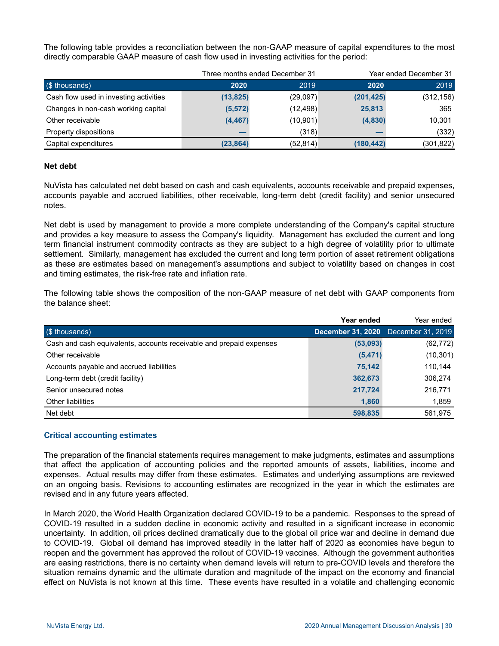The following table provides a reconciliation between the non-GAAP measure of capital expenditures to the most directly comparable GAAP measure of cash flow used in investing activities for the period:

|                                        |           | Three months ended December 31 |            | Year ended December 31 |  |
|----------------------------------------|-----------|--------------------------------|------------|------------------------|--|
| (\$ thousands)                         | 2020      | 2019                           | 2020       | 2019                   |  |
| Cash flow used in investing activities | (13, 825) | (29,097)                       | (201, 425) | (312, 156)             |  |
| Changes in non-cash working capital    | (5, 572)  | (12, 498)                      | 25,813     | 365                    |  |
| Other receivable                       | (4, 467)  | (10, 901)                      | (4,830)    | 10,301                 |  |
| Property dispositions                  |           | (318)                          |            | (332)                  |  |
| Capital expenditures                   | (23, 864) | (52, 814)                      | (180,442)  | (301, 822)             |  |

#### **Net debt**

NuVista has calculated net debt based on cash and cash equivalents, accounts receivable and prepaid expenses, accounts payable and accrued liabilities, other receivable, long-term debt (credit facility) and senior unsecured notes.

Net debt is used by management to provide a more complete understanding of the Company's capital structure and provides a key measure to assess the Company's liquidity. Management has excluded the current and long term financial instrument commodity contracts as they are subject to a high degree of volatility prior to ultimate settlement. Similarly, management has excluded the current and long term portion of asset retirement obligations as these are estimates based on management's assumptions and subject to volatility based on changes in cost and timing estimates, the risk-free rate and inflation rate.

The following table shows the composition of the non-GAAP measure of net debt with GAAP components from the balance sheet:

|                                                                     | Year ended | Year ended                          |
|---------------------------------------------------------------------|------------|-------------------------------------|
| (\$ thousands)                                                      |            | December 31, 2020 December 31, 2019 |
| Cash and cash equivalents, accounts receivable and prepaid expenses | (53,093)   | (62, 772)                           |
| Other receivable                                                    | (5, 471)   | (10, 301)                           |
| Accounts payable and accrued liabilities                            | 75.142     | 110,144                             |
| Long-term debt (credit facility)                                    | 362,673    | 306,274                             |
| Senior unsecured notes                                              | 217,724    | 216,771                             |
| Other liabilities                                                   | 1,860      | 1,859                               |
| Net debt                                                            | 598.835    | 561,975                             |

#### **Critical accounting estimates**

The preparation of the financial statements requires management to make judgments, estimates and assumptions that affect the application of accounting policies and the reported amounts of assets, liabilities, income and expenses. Actual results may differ from these estimates. Estimates and underlying assumptions are reviewed on an ongoing basis. Revisions to accounting estimates are recognized in the year in which the estimates are revised and in any future years affected.

In March 2020, the World Health Organization declared COVID-19 to be a pandemic. Responses to the spread of COVID-19 resulted in a sudden decline in economic activity and resulted in a significant increase in economic uncertainty. In addition, oil prices declined dramatically due to the global oil price war and decline in demand due to COVID-19. Global oil demand has improved steadily in the latter half of 2020 as economies have begun to reopen and the government has approved the rollout of COVID-19 vaccines. Although the government authorities are easing restrictions, there is no certainty when demand levels will return to pre-COVID levels and therefore the situation remains dynamic and the ultimate duration and magnitude of the impact on the economy and financial effect on NuVista is not known at this time. These events have resulted in a volatile and challenging economic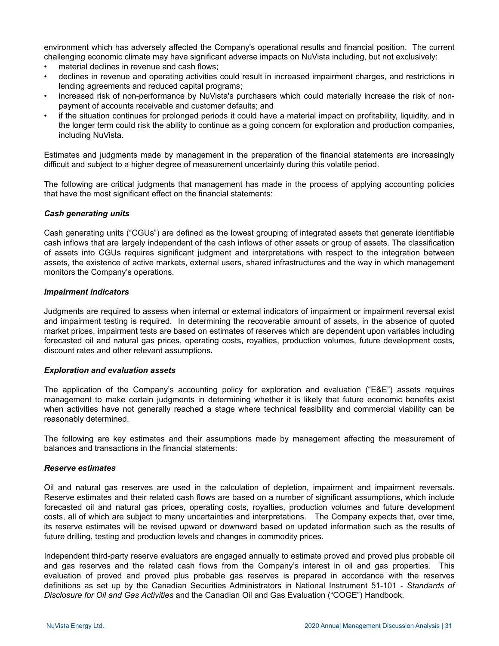environment which has adversely affected the Company's operational results and financial position. The current challenging economic climate may have significant adverse impacts on NuVista including, but not exclusively:

- material declines in revenue and cash flows;
- declines in revenue and operating activities could result in increased impairment charges, and restrictions in lending agreements and reduced capital programs;
- increased risk of non-performance by NuVista's purchasers which could materially increase the risk of nonpayment of accounts receivable and customer defaults; and
- if the situation continues for prolonged periods it could have a material impact on profitability, liquidity, and in the longer term could risk the ability to continue as a going concern for exploration and production companies, including NuVista.

Estimates and judgments made by management in the preparation of the financial statements are increasingly difficult and subject to a higher degree of measurement uncertainty during this volatile period.

The following are critical judgments that management has made in the process of applying accounting policies that have the most significant effect on the financial statements:

# *Cash generating units*

Cash generating units ("CGUs") are defined as the lowest grouping of integrated assets that generate identifiable cash inflows that are largely independent of the cash inflows of other assets or group of assets. The classification of assets into CGUs requires significant judgment and interpretations with respect to the integration between assets, the existence of active markets, external users, shared infrastructures and the way in which management monitors the Company's operations.

#### *Impairment indicators*

Judgments are required to assess when internal or external indicators of impairment or impairment reversal exist and impairment testing is required. In determining the recoverable amount of assets, in the absence of quoted market prices, impairment tests are based on estimates of reserves which are dependent upon variables including forecasted oil and natural gas prices, operating costs, royalties, production volumes, future development costs, discount rates and other relevant assumptions.

#### *Exploration and evaluation assets*

The application of the Company's accounting policy for exploration and evaluation ("E&E") assets requires management to make certain judgments in determining whether it is likely that future economic benefits exist when activities have not generally reached a stage where technical feasibility and commercial viability can be reasonably determined.

The following are key estimates and their assumptions made by management affecting the measurement of balances and transactions in the financial statements:

#### *Reserve estimates*

Oil and natural gas reserves are used in the calculation of depletion, impairment and impairment reversals. Reserve estimates and their related cash flows are based on a number of significant assumptions, which include forecasted oil and natural gas prices, operating costs, royalties, production volumes and future development costs, all of which are subject to many uncertainties and interpretations. The Company expects that, over time, its reserve estimates will be revised upward or downward based on updated information such as the results of future drilling, testing and production levels and changes in commodity prices.

Independent third-party reserve evaluators are engaged annually to estimate proved and proved plus probable oil and gas reserves and the related cash flows from the Company's interest in oil and gas properties. This evaluation of proved and proved plus probable gas reserves is prepared in accordance with the reserves definitions as set up by the Canadian Securities Administrators in National Instrument 51-101 - *Standards of Disclosure for Oil and Gas Activities* and the Canadian Oil and Gas Evaluation ("COGE") Handbook.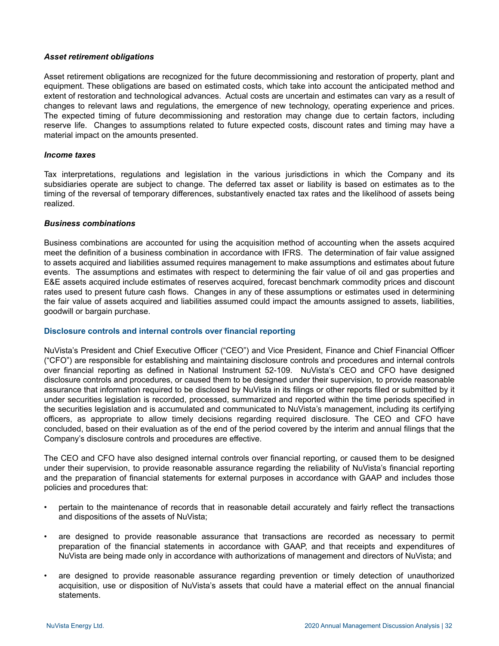#### *Asset retirement obligations*

Asset retirement obligations are recognized for the future decommissioning and restoration of property, plant and equipment. These obligations are based on estimated costs, which take into account the anticipated method and extent of restoration and technological advances. Actual costs are uncertain and estimates can vary as a result of changes to relevant laws and regulations, the emergence of new technology, operating experience and prices. The expected timing of future decommissioning and restoration may change due to certain factors, including reserve life. Changes to assumptions related to future expected costs, discount rates and timing may have a material impact on the amounts presented.

#### *Income taxes*

Tax interpretations, regulations and legislation in the various jurisdictions in which the Company and its subsidiaries operate are subject to change. The deferred tax asset or liability is based on estimates as to the timing of the reversal of temporary differences, substantively enacted tax rates and the likelihood of assets being realized.

#### *Business combinations*

Business combinations are accounted for using the acquisition method of accounting when the assets acquired meet the definition of a business combination in accordance with IFRS. The determination of fair value assigned to assets acquired and liabilities assumed requires management to make assumptions and estimates about future events. The assumptions and estimates with respect to determining the fair value of oil and gas properties and E&E assets acquired include estimates of reserves acquired, forecast benchmark commodity prices and discount rates used to present future cash flows. Changes in any of these assumptions or estimates used in determining the fair value of assets acquired and liabilities assumed could impact the amounts assigned to assets, liabilities, goodwill or bargain purchase.

#### **Disclosure controls and internal controls over financial reporting**

NuVista's President and Chief Executive Officer ("CEO") and Vice President, Finance and Chief Financial Officer ("CFO") are responsible for establishing and maintaining disclosure controls and procedures and internal controls over financial reporting as defined in National Instrument 52-109. NuVista's CEO and CFO have designed disclosure controls and procedures, or caused them to be designed under their supervision, to provide reasonable assurance that information required to be disclosed by NuVista in its filings or other reports filed or submitted by it under securities legislation is recorded, processed, summarized and reported within the time periods specified in the securities legislation and is accumulated and communicated to NuVista's management, including its certifying officers, as appropriate to allow timely decisions regarding required disclosure. The CEO and CFO have concluded, based on their evaluation as of the end of the period covered by the interim and annual filings that the Company's disclosure controls and procedures are effective.

The CEO and CFO have also designed internal controls over financial reporting, or caused them to be designed under their supervision, to provide reasonable assurance regarding the reliability of NuVista's financial reporting and the preparation of financial statements for external purposes in accordance with GAAP and includes those policies and procedures that:

- pertain to the maintenance of records that in reasonable detail accurately and fairly reflect the transactions and dispositions of the assets of NuVista;
- are designed to provide reasonable assurance that transactions are recorded as necessary to permit preparation of the financial statements in accordance with GAAP, and that receipts and expenditures of NuVista are being made only in accordance with authorizations of management and directors of NuVista; and
- are designed to provide reasonable assurance regarding prevention or timely detection of unauthorized acquisition, use or disposition of NuVista's assets that could have a material effect on the annual financial statements.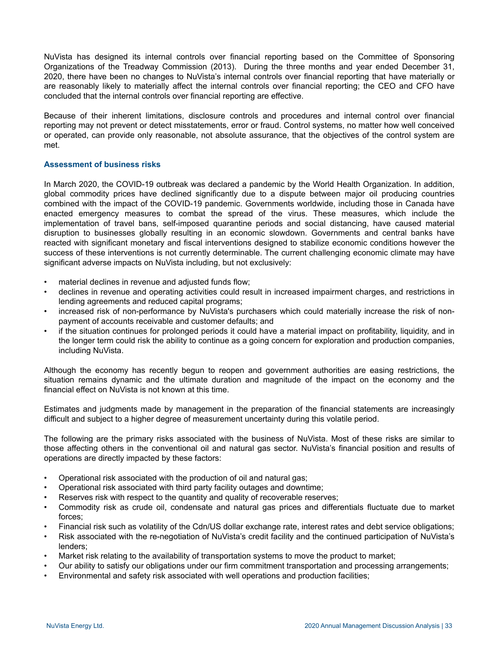NuVista has designed its internal controls over financial reporting based on the Committee of Sponsoring Organizations of the Treadway Commission (2013). During the three months and year ended December 31, 2020, there have been no changes to NuVista's internal controls over financial reporting that have materially or are reasonably likely to materially affect the internal controls over financial reporting; the CEO and CFO have concluded that the internal controls over financial reporting are effective.

Because of their inherent limitations, disclosure controls and procedures and internal control over financial reporting may not prevent or detect misstatements, error or fraud. Control systems, no matter how well conceived or operated, can provide only reasonable, not absolute assurance, that the objectives of the control system are met.

#### **Assessment of business risks**

In March 2020, the COVID-19 outbreak was declared a pandemic by the World Health Organization. In addition, global commodity prices have declined significantly due to a dispute between major oil producing countries combined with the impact of the COVID-19 pandemic. Governments worldwide, including those in Canada have enacted emergency measures to combat the spread of the virus. These measures, which include the implementation of travel bans, self-imposed quarantine periods and social distancing, have caused material disruption to businesses globally resulting in an economic slowdown. Governments and central banks have reacted with significant monetary and fiscal interventions designed to stabilize economic conditions however the success of these interventions is not currently determinable. The current challenging economic climate may have significant adverse impacts on NuVista including, but not exclusively:

- material declines in revenue and adjusted funds flow;
- declines in revenue and operating activities could result in increased impairment charges, and restrictions in lending agreements and reduced capital programs;
- increased risk of non-performance by NuVista's purchasers which could materially increase the risk of nonpayment of accounts receivable and customer defaults; and
- if the situation continues for prolonged periods it could have a material impact on profitability, liquidity, and in the longer term could risk the ability to continue as a going concern for exploration and production companies, including NuVista.

Although the economy has recently begun to reopen and government authorities are easing restrictions, the situation remains dynamic and the ultimate duration and magnitude of the impact on the economy and the financial effect on NuVista is not known at this time.

Estimates and judgments made by management in the preparation of the financial statements are increasingly difficult and subject to a higher degree of measurement uncertainty during this volatile period.

The following are the primary risks associated with the business of NuVista. Most of these risks are similar to those affecting others in the conventional oil and natural gas sector. NuVista's financial position and results of operations are directly impacted by these factors:

- Operational risk associated with the production of oil and natural gas;
- Operational risk associated with third party facility outages and downtime;
- Reserves risk with respect to the quantity and quality of recoverable reserves;
- Commodity risk as crude oil, condensate and natural gas prices and differentials fluctuate due to market forces;
- Financial risk such as volatility of the Cdn/US dollar exchange rate, interest rates and debt service obligations;
- Risk associated with the re-negotiation of NuVista's credit facility and the continued participation of NuVista's lenders;
- Market risk relating to the availability of transportation systems to move the product to market;
- Our ability to satisfy our obligations under our firm commitment transportation and processing arrangements;
- Environmental and safety risk associated with well operations and production facilities;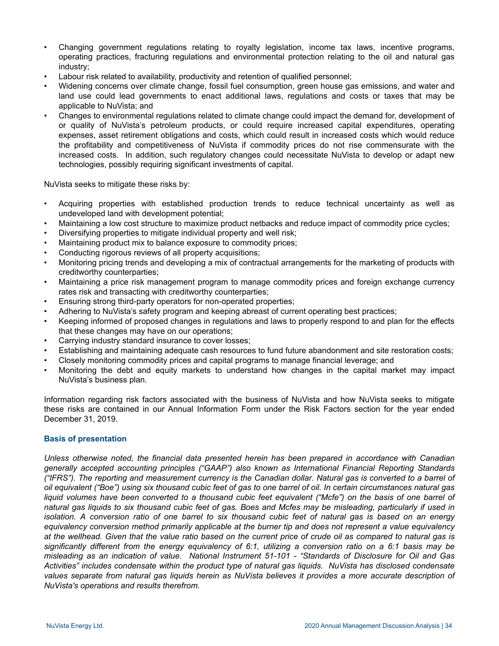- Changing government regulations relating to royalty legislation, income tax laws, incentive programs, operating practices, fracturing regulations and environmental protection relating to the oil and natural gas industry;
- Labour risk related to availability, productivity and retention of qualified personnel;
- Widening concerns over climate change, fossil fuel consumption, green house gas emissions, and water and land use could lead governments to enact additional laws, regulations and costs or taxes that may be applicable to NuVista; and
- Changes to environmental regulations related to climate change could impact the demand for, development of or quality of NuVista's petroleum products, or could require increased capital expenditures, operating expenses, asset retirement obligations and costs, which could result in increased costs which would reduce the profitability and competitiveness of NuVista if commodity prices do not rise commensurate with the increased costs. In addition, such regulatory changes could necessitate NuVista to develop or adapt new technologies, possibly requiring significant investments of capital.

NuVista seeks to mitigate these risks by:

- Acquiring properties with established production trends to reduce technical uncertainty as well as undeveloped land with development potential;
- Maintaining a low cost structure to maximize product netbacks and reduce impact of commodity price cycles;
- Diversifying properties to mitigate individual property and well risk;
- Maintaining product mix to balance exposure to commodity prices;
- Conducting rigorous reviews of all property acquisitions;
- Monitoring pricing trends and developing a mix of contractual arrangements for the marketing of products with creditworthy counterparties;
- Maintaining a price risk management program to manage commodity prices and foreign exchange currency rates risk and transacting with creditworthy counterparties;
- Ensuring strong third-party operators for non-operated properties;
- Adhering to NuVista's safety program and keeping abreast of current operating best practices;
- Keeping informed of proposed changes in regulations and laws to properly respond to and plan for the effects that these changes may have on our operations;
- Carrying industry standard insurance to cover losses;
- Establishing and maintaining adequate cash resources to fund future abandonment and site restoration costs;
- Closely monitoring commodity prices and capital programs to manage financial leverage; and
- Monitoring the debt and equity markets to understand how changes in the capital market may impact NuVista's business plan.

Information regarding risk factors associated with the business of NuVista and how NuVista seeks to mitigate these risks are contained in our Annual Information Form under the Risk Factors section for the year ended December 31, 2019.

#### **Basis of presentation**

*Unless otherwise noted, the financial data presented herein has been prepared in accordance with Canadian generally accepted accounting principles ("GAAP") also known as International Financial Reporting Standards ("IFRS"). The reporting and measurement currency is the Canadian dollar. Natural gas is converted to a barrel of oil equivalent ("Boe") using six thousand cubic feet of gas to one barrel of oil. In certain circumstances natural gas*  liquid volumes have been converted to a thousand cubic feet equivalent ("Mcfe") on the basis of one barrel of *natural gas liquids to six thousand cubic feet of gas. Boes and Mcfes may be misleading, particularly if used in isolation. A conversion ratio of one barrel to six thousand cubic feet of natural gas is based on an energy equivalency conversion method primarily applicable at the burner tip and does not represent a value equivalency at the wellhead. Given that the value ratio based on the current price of crude oil as compared to natural gas is significantly different from the energy equivalency of 6:1, utilizing a conversion ratio on a 6:1 basis may be misleading as an indication of value. National Instrument 51-101 - "Standards of Disclosure for Oil and Gas Activities" includes condensate within the product type of natural gas liquids. NuVista has disclosed condensate values separate from natural gas liquids herein as NuVista believes it provides a more accurate description of NuVista's operations and results therefrom.*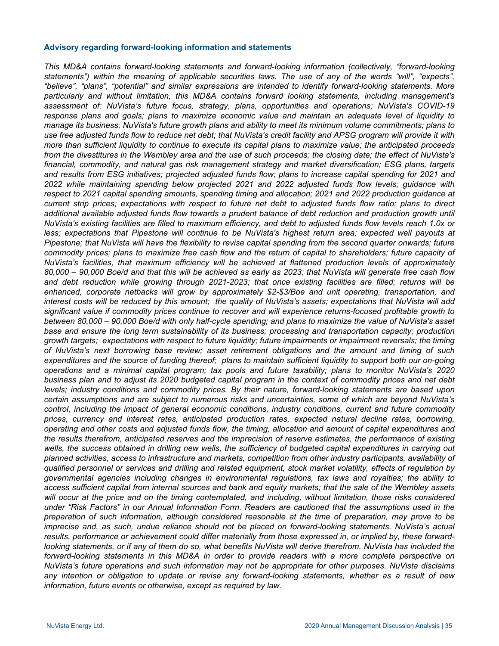#### **Advisory regarding forward-looking information and statements**

*This MD&A contains forward-looking statements and forward-looking information (collectively, "forward-looking statements") within the meaning of applicable securities laws. The use of any of the words "will", "expects", "believe", "plans", "potential" and similar expressions are intended to identify forward-looking statements. More particularly and without limitation, this MD&A contains forward looking statements, including management's assessment of: NuVista's future focus, strategy, plans, opportunities and operations; NuVista's COVID-19 response plans and goals; plans to maximize economic value and maintain an adequate level of liquidity to manage its business; NuVista's future growth plans and ability to meet its minimum volume commitments; plans to use free adjusted funds flow to reduce net debt; that NuVista's credit facility and APSG program will provide it with more than sufficient liquidity to continue to execute its capital plans to maximize value; the anticipated proceeds from the divestitures in the Wembley area and the use of such proceeds; the closing date; the effect of NuVista's financial, commodity, and natural gas risk management strategy and market diversification; ESG plans, targets and results from ESG initiatives; projected adjusted funds flow; plans to increase capital spending for 2021 and 2022 while maintaining spending below projected 2021 and 2022 adjusted funds flow levels; guidance with respect to 2021 capital spending amounts, spending timing and allocation; 2021 and 2022 production guidance at current strip prices; expectations with respect to future net debt to adjusted funds flow ratio; plans to direct*  additional available adjusted funds flow towards a prudent balance of debt reduction and production growth until *NuVista's existing facilities are filled to maximum efficiency, and debt to adjusted funds flow levels reach 1.0x or less; expectations that Pipestone will continue to be NuVista's highest return area; expected well payouts at Pipestone; that NuVista will have the flexibility to revise capital spending from the second quarter onwards; future commodity prices; plans to maximize free cash flow and the return of capital to shareholders; future capacity of NuVista's facilities, that maximum efficiency will be achieved at flattened production levels of approximately 80,000 – 90,000 Boe/d and that this will be achieved as early as 2023; that NuVista will generate free cash flow and debt reduction while growing through 2021-2023; that once existing facilities are filled; returns will be enhanced, corporate netbacks will grow by approximately \$2-\$3/Boe and unit operating, transportation, and interest costs will be reduced by this amount; the quality of NuVista's assets; expectations that NuVista will add significant value if commodity prices continue to recover and will experience returns-focused profitable growth to between 80,000 – 90,000 Boe/d with only half-cycle spending; and plans to maximize the value of NuVista's asset base and ensure the long term sustainability of its business; processing and transportation capacity; production growth targets; expectations with respect to future liquidity; future impairments or impairment reversals; the timing of NuVista's next borrowing base review; asset retirement obligations and the amount and timing of such expenditures and the source of funding thereof; plans to maintain sufficient liquidity to support both our on-going operations and a minimal capital program; tax pools and future taxability; plans to monitor NuVista's 2020 business plan and to adjust its 2020 budgeted capital program in the context of commodity prices and net debt levels; industry conditions and commodity prices. By their nature, forward-looking statements are based upon certain assumptions and are subject to numerous risks and uncertainties, some of which are beyond NuVista's control, including the impact of general economic conditions, industry conditions, current and future commodity prices, currency and interest rates, anticipated production rates, expected natural decline rates, borrowing, operating and other costs and adjusted funds flow, the timing, allocation and amount of capital expenditures and the results therefrom, anticipated reserves and the imprecision of reserve estimates, the performance of existing*  wells, the success obtained in drilling new wells, the sufficiency of budgeted capital expenditures in carrying out *planned activities, access to infrastructure and markets, competition from other industry participants, availability of qualified personnel or services and drilling and related equipment, stock market volatility, effects of regulation by governmental agencies including changes in environmental regulations, tax laws and royalties; the ability to access sufficient capital from internal sources and bank and equity markets; that the sale of the Wembley assets*  will occur at the price and on the timing contemplated, and including, without limitation, those risks considered *under "Risk Factors" in our Annual Information Form. Readers are cautioned that the assumptions used in the preparation of such information, although considered reasonable at the time of preparation, may prove to be imprecise and, as such, undue reliance should not be placed on forward-looking statements. NuVista's actual results, performance or achievement could differ materially from those expressed in, or implied by, these forwardlooking statements, or if any of them do so, what benefits NuVista will derive therefrom. NuVista has included the forward-looking statements in this MD&A in order to provide readers with a more complete perspective on NuVista's future operations and such information may not be appropriate for other purposes. NuVista disclaims any intention or obligation to update or revise any forward-looking statements, whether as a result of new information, future events or otherwise, except as required by law.*